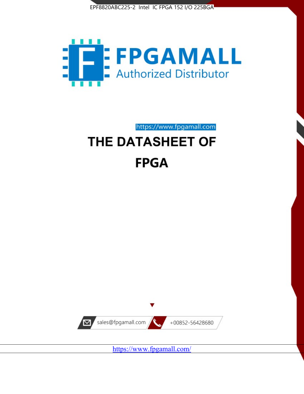



https://www.fpgamall.com

# THE DATASHEET OF **FPGA**



<https://www.fpgamall.com/>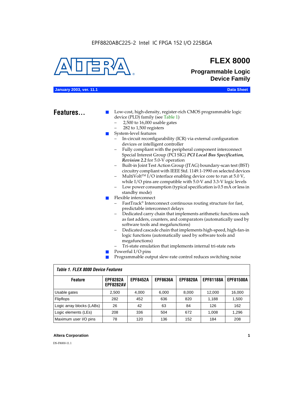EPF8820ABC225-2 Intel IC FPGA 152 I/O 225BGA



# **FLEX 8000**

**Programmable Logic Device Family**

#### **January 2003, ver. 11.1 Data Sheet**

## Features...

Low-cost, high-density, register-rich CMOS programmable logic device (PLD) family (see Table 1)

- 2,500 to 16,000 usable gates
- 282 to 1,500 registers
- System-level features
	- In-circuit reconfigurability (ICR) via external configuration devices or intelligent controller
	- Fully compliant with the peripheral component interconnect Special Interest Group (PCI SIG) *PCI Local Bus Specification, Revision 2.2* for 5.0-V operation
	- Built-in Joint Test Action Group (JTAG) boundary-scan test (BST) circuitry compliant with IEEE Std. 1149.1-1990 on selected devices
	- MultiVolt<sup>™</sup> I/O interface enabling device core to run at  $5.0 V$ , while I/O pins are compatible with 5.0-V and 3.3-V logic levels
	- Low power consumption (typical specification is 0.5 mA or less in standby mode)
- Flexible interconnect
	- FastTrack<sup>®</sup> Interconnect continuous routing structure for fast, predictable interconnect delays
	- Dedicated carry chain that implements arithmetic functions such as fast adders, counters, and comparators (automatically used by software tools and megafunctions)
	- Dedicated cascade chain that implements high-speed, high-fan-in logic functions (automatically used by software tools and megafunctions)
	- Tri-state emulation that implements internal tri-state nets
- Powerful I/O pins
- Programmable output slew-rate control reduces switching noise

| <b>Feature</b>            | <b>EPF8282A</b><br><b>EPF8282AV</b> | <b>EPF8452A</b> | <b>EPF8636A</b> | <b>EPF8820A</b> | <b>EPF81188A</b> | <b>EPF81500A</b> |  |  |  |  |
|---------------------------|-------------------------------------|-----------------|-----------------|-----------------|------------------|------------------|--|--|--|--|
| Usable gates              | 2.500                               | 4.000           | 6,000           | 8.000           | 12.000           | 16.000           |  |  |  |  |
| <b>Flipflops</b>          | 282                                 | 452             | 636             | 820             | 1.188            | 1,500            |  |  |  |  |
| Logic array blocks (LABs) | 26                                  | 42              | 63              | 84              | 126              | 162              |  |  |  |  |
| Logic elements (LEs)      | 208                                 | 336             | 504             | 672             | 1.008            | 1,296            |  |  |  |  |
| Maximum user I/O pins     | 78                                  | 120             | 136             | 152             | 184              | 208              |  |  |  |  |

#### *Table 1. FLEX 8000 Device Features*

#### **Altera Corporation 1**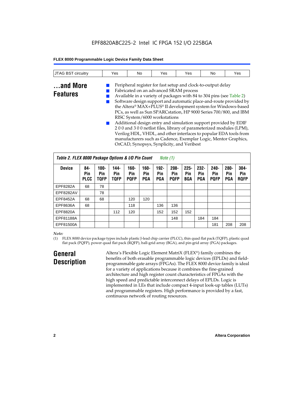#### EPF8820ABC225-2 Intel IC FPGA 152 I/O 225BGA

#### **FLEX 8000 Programmable Logic Device Family Data Sheet**

| <b>JTAG BST circuitry</b> | Yes | No | Yes | Yes                                                          | No | Yes |
|---------------------------|-----|----|-----|--------------------------------------------------------------|----|-----|
| and More                  |     |    |     | Peripheral register for fast setup and clock-to-output delay |    |     |

#### **...and More Features**

Fabricated on an advanced SRAM process

■ Available in a variety of packages with 84 to 304 pins (see Table 2) Software design support and automatic place-and-route provided by the Altera® MAX+PLUS® II development system for Windows-based PCs, as well as Sun SPARCstation, HP 9000 Series 700/800, and IBM RISC System/6000 workstations

Additional design entry and simulation support provided by EDIF 2 0 0 and 3 0 0 netlist files, library of parameterized modules (LPM), Verilog HDL, VHDL, and other interfaces to popular EDA tools from manufacturers such as Cadence, Exemplar Logic, Mentor Graphics, OrCAD, Synopsys, Synplicity, and Veribest

| Table 2. FLEX 8000 Package Options & I/O Pin Count<br>Note (1) |                           |                               |                            |                            |                              |                              |                               |                              |                              |                               |                              |                               |
|----------------------------------------------------------------|---------------------------|-------------------------------|----------------------------|----------------------------|------------------------------|------------------------------|-------------------------------|------------------------------|------------------------------|-------------------------------|------------------------------|-------------------------------|
| <b>Device</b>                                                  | 84-<br>Pin<br><b>PLCC</b> | $100 -$<br>Pin<br><b>TOFP</b> | 144-<br>Pin<br><b>TQFP</b> | 160-<br>Pin<br><b>POFP</b> | $160 -$<br>Pin<br><b>PGA</b> | $192 -$<br>Pin<br><b>PGA</b> | $208 -$<br>Pin<br><b>PQFP</b> | $225 -$<br>Pin<br><b>BGA</b> | $232 -$<br>Pin<br><b>PGA</b> | $240 -$<br>Pin<br><b>PQFP</b> | $280 -$<br>Pin<br><b>PGA</b> | $304 -$<br>Pin<br><b>ROFP</b> |
| EPF8282A                                                       | 68                        | 78                            |                            |                            |                              |                              |                               |                              |                              |                               |                              |                               |
| EPF8282AV                                                      |                           | 78                            |                            |                            |                              |                              |                               |                              |                              |                               |                              |                               |
| EPF8452A                                                       | 68                        | 68                            |                            | 120                        | 120                          |                              |                               |                              |                              |                               |                              |                               |
| EPF8636A                                                       | 68                        |                               |                            | 118                        |                              | 136                          | 136                           |                              |                              |                               |                              |                               |
| EPF8820A                                                       |                           |                               | 112                        | 120                        |                              | 152                          | 152                           | 152                          |                              |                               |                              |                               |
| EPF81188A                                                      |                           |                               |                            |                            |                              |                              | 148                           |                              | 184                          | 184                           |                              |                               |
| EPF81500A                                                      |                           |                               |                            |                            |                              |                              |                               |                              |                              | 181                           | 208                          | 208                           |

#### *Note:*

(1) FLEX 8000 device package types include plastic J-lead chip carrier (PLCC), thin quad flat pack (TQFP), plastic quad flat pack (PQFP), power quad flat pack (RQFP), ball-grid array (BGA), and pin-grid array (PGA) packages.

# **General Description**

Altera's Flexible Logic Element MatriX (FLEX®) family combines the benefits of both erasable programmable logic devices (EPLDs) and fieldprogrammable gate arrays (FPGAs). The FLEX 8000 device family is ideal for a variety of applications because it combines the fine-grained architecture and high register count characteristics of FPGAs with the high speed and predictable interconnect delays of EPLDs. Logic is implemented in LEs that include compact 4-input look-up tables (LUTs) and programmable registers. High performance is provided by a fast, continuous network of routing resources.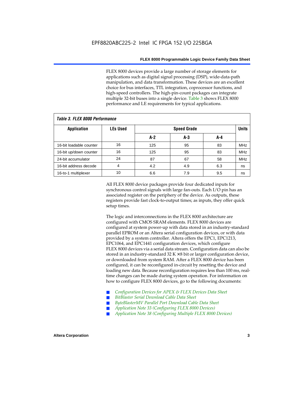FLEX 8000 devices provide a large number of storage elements for applications such as digital signal processing (DSP), wide-data-path manipulation, and data transformation. These devices are an excellent choice for bus interfaces, TTL integration, coprocessor functions, and high-speed controllers. The high-pin-count packages can integrate multiple 32-bit buses into a single device. Table 3 shows FLEX 8000 performance and LE requirements for typical applications.

| Tadie J. Flea Quuu Feituitiiaiige |                 |       |                    |     |            |  |  |  |  |  |  |
|-----------------------------------|-----------------|-------|--------------------|-----|------------|--|--|--|--|--|--|
| <b>Application</b>                | <b>LEs Used</b> |       | <b>Speed Grade</b> |     |            |  |  |  |  |  |  |
|                                   |                 | $A-2$ | A-3                | A-4 |            |  |  |  |  |  |  |
| 16-bit loadable counter           | 16              | 125   | 95                 | 83  | <b>MHz</b> |  |  |  |  |  |  |
| 16-bit up/down counter            | 16              | 125   | 95                 | 83  | <b>MHz</b> |  |  |  |  |  |  |
| 24-bit accumulator                | 24              | 87    | 67                 | 58  | <b>MHz</b> |  |  |  |  |  |  |
| 16-bit address decode             | 4               | 4.2   | 4.9                | 6.3 | ns         |  |  |  |  |  |  |
| 16-to-1 multiplexer               | 10              | 6.6   | 7.9                | 9.5 | ns         |  |  |  |  |  |  |

*Table 3. FLEX 8000 Performance*

All FLEX 8000 device packages provide four dedicated inputs for synchronous control signals with large fan-outs. Each I/O pin has an associated register on the periphery of the device. As outputs, these registers provide fast clock-to-output times; as inputs, they offer quick setup times.

The logic and interconnections in the FLEX 8000 architecture are configured with CMOS SRAM elements. FLEX 8000 devices are configured at system power-up with data stored in an industry-standard parallel EPROM or an Altera serial configuration devices, or with data provided by a system controller. Altera offers the EPC1, EPC1213, EPC1064, and EPC1441 configuration devices, which configure FLEX 8000 devices via a serial data stream. Configuration data can also be stored in an industry-standard  $32 K \times 8$  bit or larger configuration device, or downloaded from system RAM. After a FLEX 8000 device has been configured, it can be reconfigured in-circuit by resetting the device and loading new data. Because reconfiguration requires less than 100 ms, realtime changes can be made during system operation. For information on how to configure FLEX 8000 devices, go to the following documents:

- Configuration Devices for APEX & FLEX Devices Data Sheet
- $BitBlaster$  Serial Download Cable Data Sheet
- ByteBlasterMV Parallel Port Download Cable Data Sheet
- *Application Note 33 (Configuring FLEX 8000 Devices)*
- *Application Note 38 (Configuring Multiple FLEX 8000 Devices)*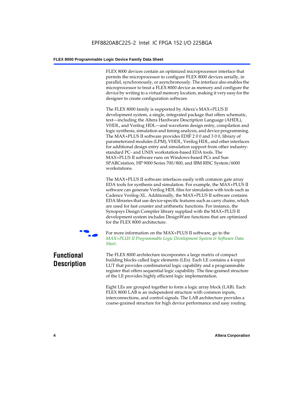FLEX 8000 devices contain an optimized microprocessor interface that permits the microprocessor to configure FLEX 8000 devices serially, in parallel, synchronously, or asynchronously. The interface also enables the microprocessor to treat a FLEX 8000 device as memory and configure the device by writing to a virtual memory location, making it very easy for the designer to create configuration software.

The FLEX 8000 family is supported by Altera's MAX+PLUS II development system, a single, integrated package that offers schematic, text—including the Altera Hardware Description Language (AHDL), VHDL, and Verilog HDL—and waveform design entry, compilation and logic synthesis, simulation and timing analysis, and device programming. The MAX+PLUS II software provides EDIF 2 0 0 and 3 0 0, library of parameterized modules (LPM), VHDL, Verilog HDL, and other interfaces for additional design entry and simulation support from other industrystandard PC- and UNIX workstation-based EDA tools. The MAX+PLUS II software runs on Windows-based PCs and Sun SPARCstation, HP 9000 Series 700/800, and IBM RISC System/6000 workstations.

The MAX+PLUS II software interfaces easily with common gate array EDA tools for synthesis and simulation. For example, the MAX+PLUS II software can generate Verilog HDL files for simulation with tools such as Cadence Verilog-XL. Additionally, the MAX+PLUS II software contains EDA libraries that use device-specific features such as carry chains, which are used for fast counter and arithmetic functions. For instance, the Synopsys Design Compiler library supplied with the MAX+PLUS II development system includes DesignWare functions that are optimized for the FLEX 8000 architecture.



For more information on the MAX+PLUS II software, go to the *MAX+PLUS II Programmable Logic Development System & Software Data Sheet*.

# **Functional Description**

The FLEX 8000 architecture incorporates a large matrix of compact building blocks called logic elements (LEs). Each LE contains a 4-input LUT that provides combinatorial logic capability and a programmable register that offers sequential logic capability. The fine-grained structure of the LE provides highly efficient logic implementation.

Eight LEs are grouped together to form a logic array block (LAB). Each FLEX 8000 LAB is an independent structure with common inputs, interconnections, and control signals. The LAB architecture provides a coarse-grained structure for high device performance and easy routing.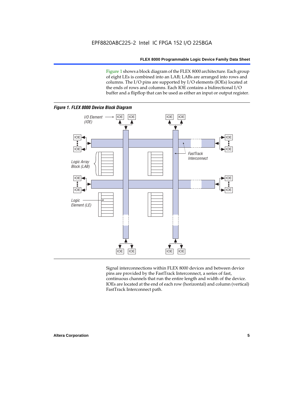Figure 1 shows a block diagram of the FLEX 8000 architecture. Each group of eight LEs is combined into an LAB; LABs are arranged into rows and columns. The I/O pins are supported by I/O elements (IOEs) located at the ends of rows and columns. Each IOE contains a bidirectional I/O buffer and a flipflop that can be used as either an input or output register.



Signal interconnections within FLEX 8000 devices and between device pins are provided by the FastTrack Interconnect, a series of fast, continuous channels that run the entire length and width of the device. IOEs are located at the end of each row (horizontal) and column (vertical) FastTrack Interconnect path.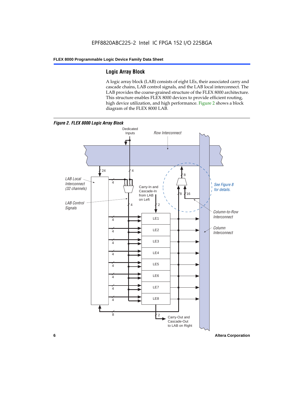#### **Logic Array Block**

A logic array block (LAB) consists of eight LEs, their associated carry and cascade chains, LAB control signals, and the LAB local interconnect. The LAB provides the coarse-grained structure of the FLEX 8000 architecture. This structure enables FLEX 8000 devices to provide efficient routing, high device utilization, and high performance. Figure 2 shows a block diagram of the FLEX 8000 LAB.



**6 Altera Corporation**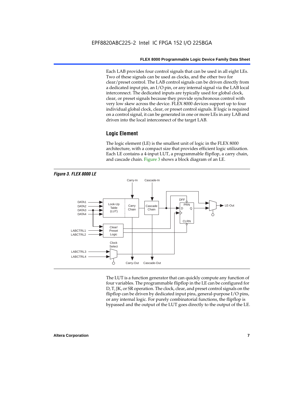Each LAB provides four control signals that can be used in all eight LEs. Two of these signals can be used as clocks, and the other two for clear/preset control. The LAB control signals can be driven directly from a dedicated input pin, an I/O pin, or any internal signal via the LAB local interconnect. The dedicated inputs are typically used for global clock, clear, or preset signals because they provide synchronous control with very low skew across the device. FLEX 8000 devices support up to four individual global clock, clear, or preset control signals. If logic is required on a control signal, it can be generated in one or more LEs in any LAB and driven into the local interconnect of the target LAB.

#### **Logic Element**

The logic element (LE) is the smallest unit of logic in the FLEX 8000 architecture, with a compact size that provides efficient logic utilization. Each LE contains a 4-input LUT, a programmable flipflop, a carry chain, and cascade chain. Figure 3 shows a block diagram of an LE.



The LUT is a function generator that can quickly compute any function of four variables. The programmable flipflop in the LE can be configured for D, T, JK, or SR operation. The clock, clear, and preset control signals on the flipflop can be driven by dedicated input pins, general-purpose I/O pins, or any internal logic. For purely combinatorial functions, the flipflop is bypassed and the output of the LUT goes directly to the output of the LE.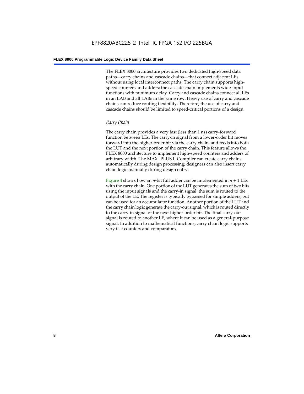The FLEX 8000 architecture provides two dedicated high-speed data paths—carry chains and cascade chains—that connect adjacent LEs without using local interconnect paths. The carry chain supports highspeed counters and adders; the cascade chain implements wide-input functions with minimum delay. Carry and cascade chains connect all LEs in an LAB and all LABs in the same row. Heavy use of carry and cascade chains can reduce routing flexibility. Therefore, the use of carry and cascade chains should be limited to speed-critical portions of a design.

#### *Carry Chain*

The carry chain provides a very fast (less than 1 ns) carry-forward function between LEs. The carry-in signal from a lower-order bit moves forward into the higher-order bit via the carry chain, and feeds into both the LUT and the next portion of the carry chain. This feature allows the FLEX 8000 architecture to implement high-speed counters and adders of arbitrary width. The MAX+PLUS II Compiler can create carry chains automatically during design processing; designers can also insert carry chain logic manually during design entry.

Figure 4 shows how an *n*-bit full adder can be implemented in *n* + 1 LEs with the carry chain. One portion of the LUT generates the sum of two bits using the input signals and the carry-in signal; the sum is routed to the output of the LE. The register is typically bypassed for simple adders, but can be used for an accumulator function. Another portion of the LUT and the carry chain logic generate the carry-out signal, which is routed directly to the carry-in signal of the next-higher-order bit. The final carry-out signal is routed to another LE, where it can be used as a general-purpose signal. In addition to mathematical functions, carry chain logic supports very fast counters and comparators.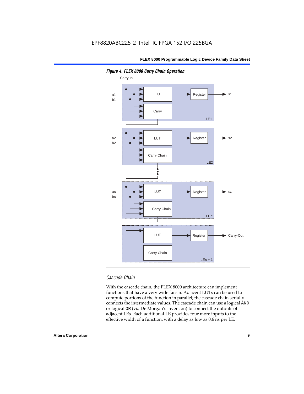

*Figure 4. FLEX 8000 Carry Chain Operation*

#### *Cascade Chain*

With the cascade chain, the FLEX 8000 architecture can implement functions that have a very wide fan-in. Adjacent LUTs can be used to compute portions of the function in parallel; the cascade chain serially connects the intermediate values. The cascade chain can use a logical AND or logical OR (via De Morgan's inversion) to connect the outputs of adjacent LEs. Each additional LE provides four more inputs to the effective width of a function, with a delay as low as 0.6 ns per LE.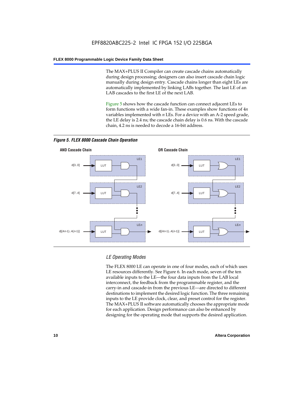The MAX+PLUS II Compiler can create cascade chains automatically during design processing; designers can also insert cascade chain logic manually during design entry. Cascade chains longer than eight LEs are automatically implemented by linking LABs together. The last LE of an LAB cascades to the first LE of the next LAB.

Figure 5 shows how the cascade function can connect adjacent LEs to form functions with a wide fan-in. These examples show functions of 4*n* variables implemented with *n* LEs. For a device with an A-2 speed grade, the LE delay is 2.4 ns; the cascade chain delay is 0.6 ns. With the cascade chain, 4.2 ns is needed to decode a 16-bit address.



*Figure 5. FLEX 8000 Cascade Chain Operation*

#### *LE Operating Modes*

The FLEX 8000 LE can operate in one of four modes, each of which uses LE resources differently. See Figure 6. In each mode, seven of the ten available inputs to the LE—the four data inputs from the LAB local interconnect, the feedback from the programmable register, and the carry-in and cascade-in from the previous LE—are directed to different destinations to implement the desired logic function. The three remaining inputs to the LE provide clock, clear, and preset control for the register. The MAX+PLUS II software automatically chooses the appropriate mode for each application. Design performance can also be enhanced by designing for the operating mode that supports the desired application.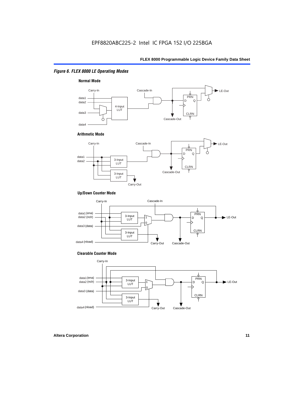#### *Figure 6. FLEX 8000 LE Operating Modes*



#### **Arithmetic Mode**



#### **Up/Down Counter Mode**



#### **Clearable Counter Mode**

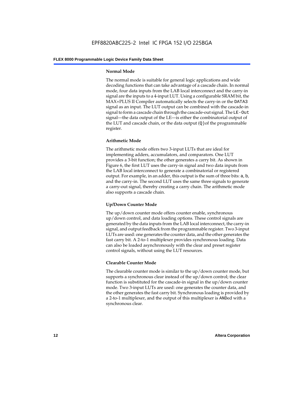#### **Normal Mode**

The normal mode is suitable for general logic applications and wide decoding functions that can take advantage of a cascade chain. In normal mode, four data inputs from the LAB local interconnect and the carry-in signal are the inputs to a 4-input LUT. Using a configurable SRAM bit, the MAX+PLUS II Compiler automatically selects the carry-in or the DATA3 signal as an input. The LUT output can be combined with the cascade-in signal to form a cascade chain through the cascade-out signal. The LE-Out signal—the data output of the LE—is either the combinatorial output of the LUT and cascade chain, or the data output  $(Q)$  of the programmable register.

#### **Arithmetic Mode**

The arithmetic mode offers two 3-input LUTs that are ideal for implementing adders, accumulators, and comparators. One LUT provides a 3-bit function; the other generates a carry bit. As shown in Figure 6, the first LUT uses the carry-in signal and two data inputs from the LAB local interconnect to generate a combinatorial or registered output. For example, in an adder, this output is the sum of three bits: a, b, and the carry-in. The second LUT uses the same three signals to generate a carry-out signal, thereby creating a carry chain. The arithmetic mode also supports a cascade chain.

#### **Up/Down Counter Mode**

The up/down counter mode offers counter enable, synchronous up/down control, and data loading options. These control signals are generated by the data inputs from the LAB local interconnect, the carry-in signal, and output feedback from the programmable register. Two 3-input LUTs are used: one generates the counter data, and the other generates the fast carry bit. A 2-to-1 multiplexer provides synchronous loading. Data can also be loaded asynchronously with the clear and preset register control signals, without using the LUT resources.

#### **Clearable Counter Mode**

The clearable counter mode is similar to the up/down counter mode, but supports a synchronous clear instead of the up/down control; the clear function is substituted for the cascade-in signal in the up/down counter mode. Two 3-input LUTs are used: one generates the counter data, and the other generates the fast carry bit. Synchronous loading is provided by a 2-to-1 multiplexer, and the output of this multiplexer is ANDed with a synchronous clear.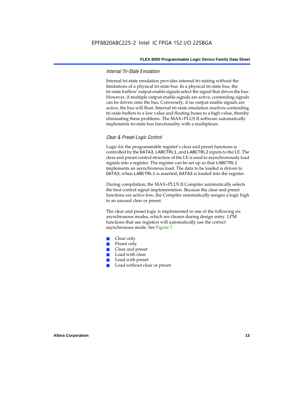#### *Internal Tri-State Emulation*

Internal tri-state emulation provides internal tri-stating without the limitations of a physical tri-state bus. In a physical tri-state bus, the tri-state buffers' output enable signals select the signal that drives the bus. However, if multiple output enable signals are active, contending signals can be driven onto the bus. Conversely, if no output enable signals are active, the bus will float. Internal tri-state emulation resolves contending tri-state buffers to a low value and floating buses to a high value, thereby eliminating these problems. The MAX+PLUS II software automatically implements tri-state bus functionality with a multiplexer.

#### *Clear & Preset Logic Control*

Logic for the programmable register's clear and preset functions is controlled by the DATA3, LABCTRL1, and LABCTRL2 inputs to the LE. The clear and preset control structure of the LE is used to asynchronously load signals into a register. The register can be set up so that LABCTRL1 implements an asynchronous load. The data to be loaded is driven to DATA3; when LABCTRL1 is asserted, DATA3 is loaded into the register.

During compilation, the MAX+PLUS II Compiler automatically selects the best control signal implementation. Because the clear and preset functions are active-low, the Compiler automatically assigns a logic high to an unused clear or preset.

The clear and preset logic is implemented in one of the following six asynchronous modes, which are chosen during design entry. LPM functions that use registers will automatically use the correct asynchronous mode. See Figure 7.

- Clear only
- Preset only
- Clear and preset
- Load with clear
- Load with preset
- Load without clear or preset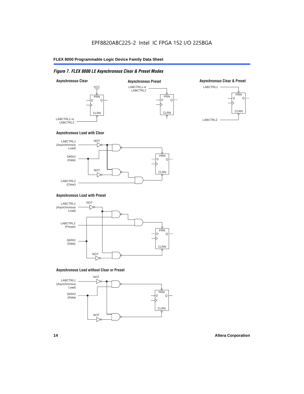#### *Figure 7. FLEX 8000 LE Asynchronous Clear & Preset Modes*



#### **Asynchronous Load with Clear**



#### **Asynchronous Load with Preset**



#### **Asynchronous Load without Clear or Preset**

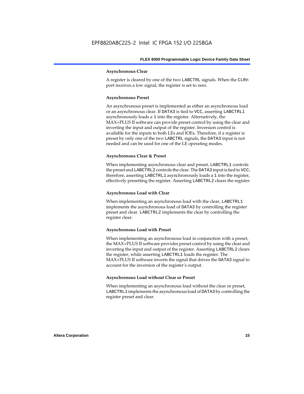#### **Asynchronous Clear**

A register is cleared by one of the two LABCTRL signals. When the CLRn port receives a low signal, the register is set to zero.

#### **Asynchronous Preset**

An asynchronous preset is implemented as either an asynchronous load or an asynchronous clear. If DATA3 is tied to VCC, asserting LABCTRLl asynchronously loads a 1 into the register. Alternatively, the MAX+PLUS II software can provide preset control by using the clear and inverting the input and output of the register. Inversion control is available for the inputs to both LEs and IOEs. Therefore, if a register is preset by only one of the two LABCTRL signals, the DATA3 input is not needed and can be used for one of the LE operating modes.

#### **Asynchronous Clear & Preset**

When implementing asynchronous clear and preset, LABCTRL1 controls the preset and LABCTRL2 controls the clear. The DATA3 input is tied to VCC; therefore, asserting LABCTRL1 asynchronously loads a 1 into the register, effectively presetting the register. Asserting LABCTRL2 clears the register.

#### **Asynchronous Load with Clear**

When implementing an asynchronous load with the clear, LABCTRL1 implements the asynchronous load of DATA3 by controlling the register preset and clear. LABCTRL2 implements the clear by controlling the register clear.

#### **Asynchronous Load with Preset**

When implementing an asynchronous load in conjunction with a preset, the MAX+PLUS II software provides preset control by using the clear and inverting the input and output of the register. Asserting LABCTRL2 clears the register, while asserting LABCTRL1 loads the register. The MAX+PLUS II software inverts the signal that drives the DATA3 signal to account for the inversion of the register's output.

#### **Asynchronous Load without Clear or Preset**

When implementing an asynchronous load without the clear or preset, LABCTRL1 implements the asynchronous load of DATA3 by controlling the register preset and clear.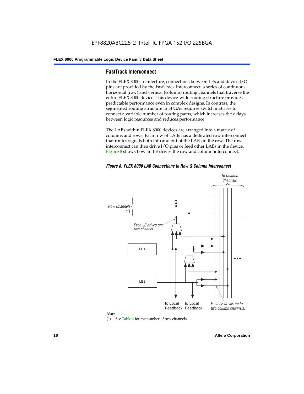#### **FastTrack Interconnect**

In the FLEX 8000 architecture, connections between LEs and device I/O pins are provided by the FastTrack Interconnect, a series of continuous horizontal (row) and vertical (column) routing channels that traverse the entire FLEX 8000 device. This device-wide routing structure provides predictable performance even in complex designs. In contrast, the segmented routing structure in FPGAs requires switch matrices to connect a variable number of routing paths, which increases the delays between logic resources and reduces performance.

The LABs within FLEX 8000 devices are arranged into a matrix of columns and rows. Each row of LABs has a dedicated row interconnect that routes signals both into and out of the LABs in the row. The row interconnect can then drive I/O pins or feed other LABs in the device. Figure 8 shows how an LE drives the row and column interconnect.

*Figure 8. FLEX 8000 LAB Connections to Row & Column Interconnect*





(1) See Table 4 for the number of row channels.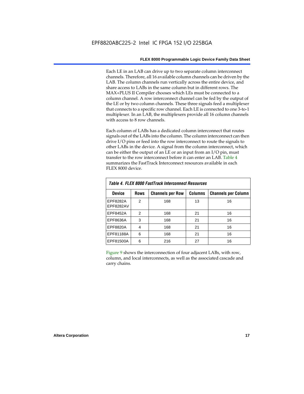Each LE in an LAB can drive up to two separate column interconnect channels. Therefore, all 16 available column channels can be driven by the LAB. The column channels run vertically across the entire device, and share access to LABs in the same column but in different rows. The MAX+PLUS II Compiler chooses which LEs must be connected to a column channel. A row interconnect channel can be fed by the output of the LE or by two column channels. These three signals feed a multiplexer that connects to a specific row channel. Each LE is connected to one 3-to-1 multiplexer. In an LAB, the multiplexers provide all 16 column channels with access to 8 row channels.

Each column of LABs has a dedicated column interconnect that routes signals out of the LABs into the column. The column interconnect can then drive I/O pins or feed into the row interconnect to route the signals to other LABs in the device. A signal from the column interconnect, which can be either the output of an LE or an input from an I/O pin, must transfer to the row interconnect before it can enter an LAB. Table 4 summarizes the FastTrack Interconnect resources available in each FLEX 8000 device.

| Table 4. FLEX 8000 FastTrack Interconnect Resources |                |                         |                |                            |  |  |  |  |  |  |
|-----------------------------------------------------|----------------|-------------------------|----------------|----------------------------|--|--|--|--|--|--|
| <b>Device</b>                                       | <b>Rows</b>    | <b>Channels per Row</b> | <b>Columns</b> | <b>Channels per Column</b> |  |  |  |  |  |  |
| EPF8282A<br>EPF8282AV                               | $\mathfrak{p}$ | 168                     | 13             | 16                         |  |  |  |  |  |  |
| EPF8452A                                            | 2              | 168                     | 21             | 16                         |  |  |  |  |  |  |
| EPF8636A                                            | 3              | 168                     | 21             | 16                         |  |  |  |  |  |  |
| EPF8820A                                            | 4              | 168                     | 21             | 16                         |  |  |  |  |  |  |
| EPF81188A                                           | 6              | 168                     | 21             | 16                         |  |  |  |  |  |  |
| EPF81500A                                           | 6              | 216                     | 27             | 16                         |  |  |  |  |  |  |

Figure 9 shows the interconnection of four adjacent LABs, with row, column, and local interconnects, as well as the associated cascade and carry chains.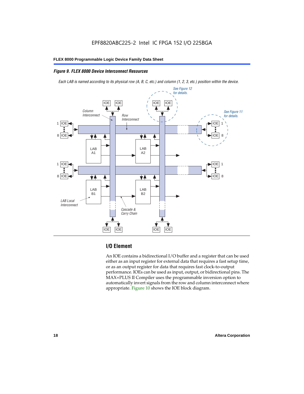#### *Figure 9. FLEX 8000 Device Interconnect Resources*

*Each LAB is named according to its physical row (A, B, C, etc.) and column (1, 2, 3, etc.) position within the device.*



#### **I/O Element**

An IOE contains a bidirectional I/O buffer and a register that can be used either as an input register for external data that requires a fast setup time, or as an output register for data that requires fast clock-to-output performance. IOEs can be used as input, output, or bidirectional pins. The MAX+PLUS II Compiler uses the programmable inversion option to automatically invert signals from the row and column interconnect where appropriate. Figure 10 shows the IOE block diagram.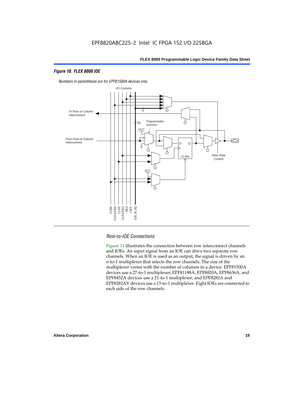#### *Figure 10. FLEX 8000 IOE*



*Numbers in parentheses are for EPF81500A devices only.*

#### *Row-to-IOE Connections*

Figure 11 illustrates the connection between row interconnect channels and IOEs. An input signal from an IOE can drive two separate row channels. When an IOE is used as an output, the signal is driven by an *n*-to-1 multiplexer that selects the row channels. The size of the multiplexer varies with the number of columns in a device. EPF81500A devices use a 27-to-1 multiplexer; EPF81188A, EPF8820A, EPF8636A, and EPF8452A devices use a 21-to-1 multiplexer; and EPF8282A and EPF8282AV devices use a 13-to-1 multiplexer. Eight IOEs are connected to each side of the row channels.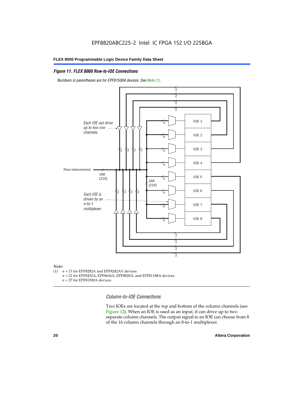#### *Figure 11. FLEX 8000 Row-to-IOE Connections*

*Numbers in parentheses are for EPF81500A devices. See Note (1).*



# *Note:*<br>(1) *n*

- $n = 13$  for EPF8282A and EPF8282AV devices.
	- *n* = 21 for EPF8452A, EPF8636A, EPF8820A, and EPF81188A devices.
	- *n* = 27 for EPF81500A devices.

*Column-to-IOE Connections*

Two IOEs are located at the top and bottom of the column channels (see Figure 12). When an IOE is used as an input, it can drive up to two separate column channels. The output signal to an IOE can choose from 8 of the 16 column channels through an 8-to-1 multiplexer.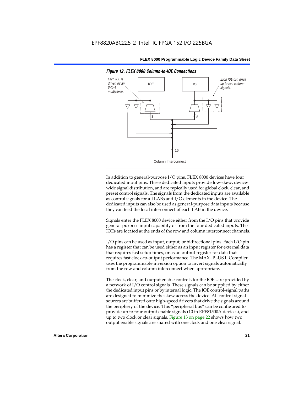

*Figure 12. FLEX 8000 Column-to-IOE Connections*

In addition to general-purpose I/O pins, FLEX 8000 devices have four dedicated input pins. These dedicated inputs provide low-skew, devicewide signal distribution, and are typically used for global clock, clear, and preset control signals. The signals from the dedicated inputs are available as control signals for all LABs and I/O elements in the device. The dedicated inputs can also be used as general-purpose data inputs because they can feed the local interconnect of each LAB in the device.

Signals enter the FLEX 8000 device either from the I/O pins that provide general-purpose input capability or from the four dedicated inputs. The IOEs are located at the ends of the row and column interconnect channels.

I/O pins can be used as input, output, or bidirectional pins. Each I/O pin has a register that can be used either as an input register for external data that requires fast setup times, or as an output register for data that requires fast clock-to-output performance. The MAX+PLUS II Compiler uses the programmable inversion option to invert signals automatically from the row and column interconnect when appropriate.

The clock, clear, and output enable controls for the IOEs are provided by a network of I/O control signals. These signals can be supplied by either the dedicated input pins or by internal logic. The IOE control-signal paths are designed to minimize the skew across the device. All control-signal sources are buffered onto high-speed drivers that drive the signals around the periphery of the device. This "peripheral bus" can be configured to provide up to four output enable signals (10 in EPF81500A devices), and up to two clock or clear signals. Figure 13 on page 22 shows how two output enable signals are shared with one clock and one clear signal.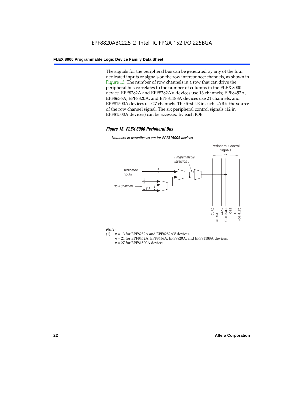The signals for the peripheral bus can be generated by any of the four dedicated inputs or signals on the row interconnect channels, as shown in Figure 13. The number of row channels in a row that can drive the peripheral bus correlates to the number of columns in the FLEX 8000 device. EPF8282A and EPF8282AV devices use 13 channels; EPF8452A, EPF8636A, EPF8820A, and EPF81188A devices use 21 channels; and EPF81500A devices use 27 channels. The first LE in each LAB is the source of the row channel signal. The six peripheral control signals (12 in EPF81500A devices) can be accessed by each IOE.

#### *Figure 13. FLEX 8000 Peripheral Bus*

*Numbers in parentheses are for EPF81500A devices.*



#### *Note:*

- (1)  $n = 13$  for EPF8282A and EPF8282AV devices.
	- *n* = 21 for EPF8452A, EPF8636A, EPF8820A, and EPF81188A devices.
	- *n* = 27 for EPF81500A devices.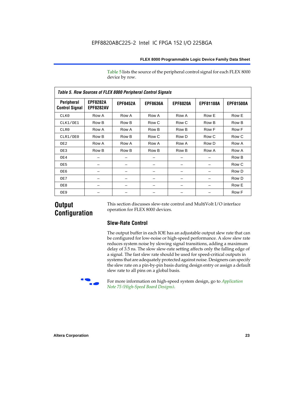Table 5 lists the source of the peripheral control signal for each FLEX 8000 device by row.

| <b>Table 5. Row Sources of FLEX 8000 Peripheral Control Signals</b> |                                     |                 |                 |                 |                  |                  |  |  |  |  |  |
|---------------------------------------------------------------------|-------------------------------------|-----------------|-----------------|-----------------|------------------|------------------|--|--|--|--|--|
| Peripheral<br><b>Control Signal</b>                                 | <b>EPF8282A</b><br><b>EPF8282AV</b> | <b>EPF8452A</b> | <b>EPF8636A</b> | <b>EPF8820A</b> | <b>EPF81188A</b> | <b>EPF81500A</b> |  |  |  |  |  |
| CLK0                                                                | Row A                               | Row A           | Row A           | Row A           | Row E            | Row E            |  |  |  |  |  |
| CLK1/OE1                                                            | Row B                               | Row B           | Row C           | Row C           | Row B            | Row B            |  |  |  |  |  |
| CLR0                                                                | Row A                               | Row A           | Row B           | Row B           | Row F            | Row F            |  |  |  |  |  |
| CLR1/OE0                                                            | Row B                               | Row B           | Row C           | Row D           | Row C            | Row C            |  |  |  |  |  |
| OE <sub>2</sub>                                                     | Row A                               | Row A           | Row A           | Row A           | Row D            | Row A            |  |  |  |  |  |
| OE3                                                                 | Row B                               | Row B           | Row B           | Row B           | Row A            | Row A            |  |  |  |  |  |
| OE4                                                                 |                                     |                 |                 |                 |                  | Row B            |  |  |  |  |  |
| OE5                                                                 |                                     |                 |                 |                 |                  | Row C            |  |  |  |  |  |
| OE6                                                                 |                                     |                 |                 |                 |                  | Row D            |  |  |  |  |  |
| OE7                                                                 |                                     |                 |                 |                 |                  | Row D            |  |  |  |  |  |
| OE8                                                                 |                                     |                 |                 |                 |                  | Row E            |  |  |  |  |  |
| OE9                                                                 |                                     |                 |                 |                 |                  | Row F            |  |  |  |  |  |

# **Output Configuration**

This section discusses slew-rate control and MultiVolt I/O interface operation for FLEX 8000 devices.

## **Slew-Rate Control**

The output buffer in each IOE has an adjustable output slew rate that can be configured for low-noise or high-speed performance. A slow slew rate reduces system noise by slowing signal transitions, adding a maximum delay of 3.5 ns. The slow slew-rate setting affects only the falling edge of a signal. The fast slew rate should be used for speed-critical outputs in systems that are adequately protected against noise. Designers can specify the slew rate on a pin-by-pin basis during design entry or assign a default slew rate to all pins on a global basis.



f For more information on high-speed system design, go to *Application Note 75 (High-Speed Board Designs)*.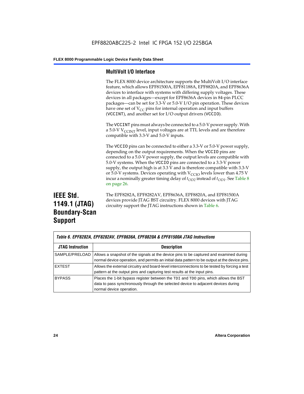#### **MultiVolt I/O Interface**

The FLEX 8000 device architecture supports the MultiVolt I/O interface feature, which allows EPF81500A, EPF81188A, EPF8820A, and EPF8636A devices to interface with systems with differing supply voltages. These devices in all packages—except for EPF8636A devices in 84-pin PLCC packages—can be set for 3.3-V or 5.0-V I/O pin operation. These devices have one set of  $V_{CC}$  pins for internal operation and input buffers (VCCINT), and another set for I/O output drivers (VCCIO).

The VCCINT pins must always be connected to a 5.0-V power supply. With a 5.0-V  $V_{\text{CCINT}}$  level, input voltages are at TTL levels and are therefore compatible with 3.3-V and 5.0-V inputs.

The VCCIO pins can be connected to either a 3.3-V or 5.0-V power supply, depending on the output requirements. When the VCCIO pins are connected to a 5.0-V power supply, the output levels are compatible with 5.0-V systems. When the VCCIO pins are connected to a 3.3-V power supply, the output high is at 3.3 V and is therefore compatible with 3.3-V or 5.0-V systems. Devices operating with  $V_{\text{C}CD}$  levels lower than 4.75 V incur a nominally greater timing delay of  $t_{OD2}$  instead of  $t_{OD1}$ . See Table 8 on page 26.

# **IEEE Std. 1149.1 (JTAG) Boundary-Scan Support**

The EPF8282A, EPF8282AV, EPF8636A, EPF8820A, and EPF81500A devices provide JTAG BST circuitry. FLEX 8000 devices with JTAG circuitry support the JTAG instructions shown in Table 6.

| Table 6. EPF8282A, EPF8282AV, EPF8636A, EPF8820A & EPF81500A JTAG Instructions |                                                                                                                                                                                                      |  |  |  |  |
|--------------------------------------------------------------------------------|------------------------------------------------------------------------------------------------------------------------------------------------------------------------------------------------------|--|--|--|--|
| <b>JTAG Instruction</b>                                                        | <b>Description</b>                                                                                                                                                                                   |  |  |  |  |
| SAMPLE/PRELOAD                                                                 | Allows a snapshot of the signals at the device pins to be captured and examined during<br>normal device operation, and permits an initial data pattern to be output at the device pins.              |  |  |  |  |
| <b>EXTEST</b>                                                                  | Allows the external circuitry and board-level interconnections to be tested by forcing a test<br>pattern at the output pins and capturing test results at the input pins.                            |  |  |  |  |
| <b>BYPASS</b>                                                                  | Places the 1-bit bypass register between the TDI and TDO pins, which allows the BST<br>data to pass synchronously through the selected device to adjacent devices during<br>normal device operation. |  |  |  |  |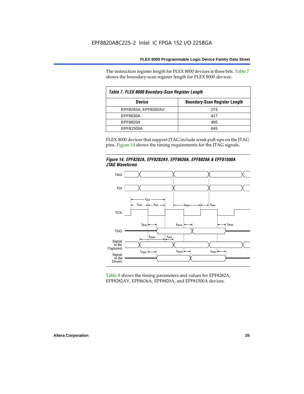The instruction register length for FLEX 8000 devices is three bits. Table 7 shows the boundary-scan register length for FLEX 8000 devices.

| Table 7. FLEX 8000 Boundary-Scan Register Length |                                      |  |  |  |  |  |  |
|--------------------------------------------------|--------------------------------------|--|--|--|--|--|--|
| <b>Device</b>                                    | <b>Boundary-Scan Register Length</b> |  |  |  |  |  |  |
| EPF8282A, EPF8282AV                              | 273                                  |  |  |  |  |  |  |
| EPF8636A                                         | 417                                  |  |  |  |  |  |  |
| EPF8820A                                         | 465                                  |  |  |  |  |  |  |
| EPF81500A                                        | 645                                  |  |  |  |  |  |  |

FLEX 8000 devices that support JTAG include weak pull-ups on the JTAG pins. Figure 14 shows the timing requirements for the JTAG signals.





Table 8 shows the timing parameters and values for EPF8282A, EPF8282AV, EPF8636A, EPF8820A, and EPF81500A devices.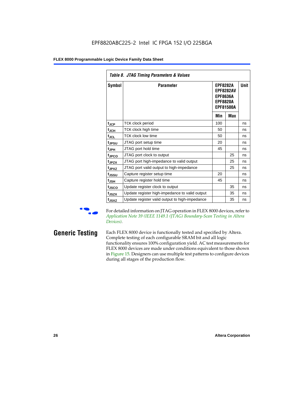| Table 8. JTAG Timing Parameters & Values |                                                |                                                                                               |     |      |  |  |  |  |  |  |
|------------------------------------------|------------------------------------------------|-----------------------------------------------------------------------------------------------|-----|------|--|--|--|--|--|--|
| Symbol                                   | <b>Parameter</b>                               | <b>EPF8282A</b><br><b>EPF8282AV</b><br><b>EPF8636A</b><br><b>EPF8820A</b><br><b>EPF81500A</b> |     | Unit |  |  |  |  |  |  |
|                                          |                                                | Min                                                                                           | Max |      |  |  |  |  |  |  |
| $t_{\sf JCP}$                            | TCK clock period                               | 100                                                                                           |     | ns   |  |  |  |  |  |  |
| $t_{JCH}$                                | TCK clock high time                            | 50                                                                                            |     | ns   |  |  |  |  |  |  |
| $t_{JCL}$                                | <b>TCK clock low time</b>                      | 50                                                                                            |     | ns   |  |  |  |  |  |  |
| t <sub>JPSU</sub>                        | JTAG port setup time                           | 20                                                                                            |     | ns   |  |  |  |  |  |  |
| t <sub>JPH</sub>                         | JTAG port hold time                            | 45                                                                                            |     | ns   |  |  |  |  |  |  |
| t <sub>JPCO</sub>                        | JTAG port clock to output                      |                                                                                               | 25  | ns   |  |  |  |  |  |  |
| t <sub>JPZX</sub>                        | JTAG port high-impedance to valid output       |                                                                                               | 25  | ns   |  |  |  |  |  |  |
| t <sub>JPXZ</sub>                        | JTAG port valid output to high-impedance       |                                                                                               | 25  | ns   |  |  |  |  |  |  |
| tjssu                                    | Capture register setup time                    | 20                                                                                            |     | ns   |  |  |  |  |  |  |
| t <sub>JSH</sub>                         | Capture register hold time                     | 45                                                                                            |     | ns   |  |  |  |  |  |  |
| tjsco                                    | Update register clock to output                |                                                                                               | 35  | ns   |  |  |  |  |  |  |
| t <sub>JSZX</sub>                        | Update register high-impedance to valid output |                                                                                               | 35  | ns   |  |  |  |  |  |  |
| t <sub>JSXZ</sub>                        | Update register valid output to high-impedance |                                                                                               | 35  | ns   |  |  |  |  |  |  |

For detailed information on JTAG operation in FLEX 8000 devices, refer to *Application Note 39 (IEEE 1149.1 (JTAG) Boundary-Scan Testing in Altera Devices)*.

**Generic Testing** Each FLEX 8000 device is functionally tested and specified by Altera. Complete testing of each configurable SRAM bit and all logic functionality ensures 100% configuration yield. AC test measurements for FLEX 8000 devices are made under conditions equivalent to those shown in Figure 15. Designers can use multiple test patterns to configure devices during all stages of the production flow.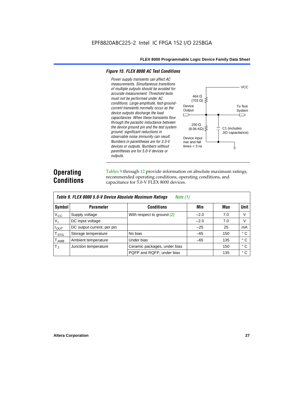#### *Figure 15. FLEX 8000 AC Test Conditions*

*Power supply transients can affect AC measurements. Simultaneous transitions*  **VCC** *of multiple outputs should be avoided for accurate measurement. Threshold tests*  464 Ω *must not be performed under AC*   $(703 \Omega)$ *conditions. Large-amplitude, fast-ground-*Device To Test *current transients normally occur as the*  **Output** System *device outputs discharge the load*   $\Box$ ⌒ *capacitances. When these transients flow through the parasitic inductance between*  250 Ω *the device ground pin and the test system*   $(8.06 \text{ K}\Omega)$ C1 (includes *ground, significant reductions in*  JIG capacitance) *observable noise immunity can result.*  Device input *Numbers in parentheses are for 3.3-V*  rise and fall *devices or outputs. Numbers without*  times  $<$  3 ns ╧ *parentheses are for 5.0-V devices or outputs.*

# **Operating Conditions**

Tables 9 through 12 provide information on absolute maximum ratings, recommended operating conditions, operating conditions, and capacitance for 5.0-V FLEX 8000 devices.

|               | Table 9. FLEX 8000 5.0-V Device Absolute Maximum Ratings<br>Note (1) |                              |        |     |              |  |  |  |  |  |  |
|---------------|----------------------------------------------------------------------|------------------------------|--------|-----|--------------|--|--|--|--|--|--|
| Symbol        | <b>Parameter</b>                                                     | <b>Conditions</b>            | Min    | Max | <b>Unit</b>  |  |  |  |  |  |  |
| $V_{\rm CC}$  | Supply voltage                                                       | With respect to ground $(2)$ | $-2.0$ | 7.0 | V            |  |  |  |  |  |  |
| $V_{1}$       | DC input voltage                                                     |                              | $-2.0$ | 7.0 | V            |  |  |  |  |  |  |
| $I_{OUT}$     | DC output current, per pin                                           |                              | $-25$  | 25  | mA           |  |  |  |  |  |  |
| $T_{STG}$     | Storage temperature                                                  | No bias                      | $-65$  | 150 | ° C          |  |  |  |  |  |  |
| $T_{\rm AMB}$ | Ambient temperature                                                  | Under bias                   | $-65$  | 135 | $^{\circ}$ C |  |  |  |  |  |  |
| $T_{\rm J}$   | Junction temperature                                                 | Ceramic packages, under bias |        | 150 | ° C          |  |  |  |  |  |  |
|               |                                                                      | PQFP and RQFP, under bias    |        | 135 | ° C          |  |  |  |  |  |  |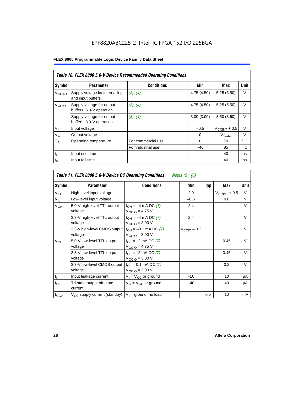|                          | Table 10. FLEX 8000 5.0-V Device Recommended Operating Conditions |                    |             |                          |              |  |  |  |  |  |
|--------------------------|-------------------------------------------------------------------|--------------------|-------------|--------------------------|--------------|--|--|--|--|--|
| Symbol                   | <b>Parameter</b>                                                  | <b>Conditions</b>  | Min         | Max                      | Unit         |  |  |  |  |  |
| <b>V<sub>CCINT</sub></b> | Supply voltage for internal logic<br>and input buffers            | (3), (4)           | 4.75 (4.50) | 5.25(5.50)               | $\vee$       |  |  |  |  |  |
| V <sub>CCIO</sub>        | Supply voltage for output<br>buffers, 5.0-V operation             | (3), (4)           | 4.75 (4.50) | 5.25(5.50)               | $\vee$       |  |  |  |  |  |
|                          | Supply voltage for output<br>buffers, 3.3-V operation             | (3), (4)           | 3.00(3.00)  | 3.60(3.60)               | V            |  |  |  |  |  |
| $V_{I}$                  | Input voltage                                                     |                    | $-0.5$      | $V_{\text{CCINT}} + 0.5$ | $\vee$       |  |  |  |  |  |
| $V_{\rm O}$              | Output voltage                                                    |                    | 0           | V <sub>CCIO</sub>        | $\vee$       |  |  |  |  |  |
| $T_A$                    | Operating temperature                                             | For commercial use | $\Omega$    | 70                       | $^{\circ}$ C |  |  |  |  |  |
|                          |                                                                   | For industrial use | $-40$       | 85                       | $^{\circ}$ C |  |  |  |  |  |
| $t_{R}$                  | Input rise time                                                   |                    |             | 40                       | ns           |  |  |  |  |  |
| $t_F$                    | Input fall time                                                   |                    |             | 40                       | ns           |  |  |  |  |  |

| Table 11. FLEX 8000 5.0-V Device DC Operating Conditions<br>Notes (5), (6) |                                         |                                                                      |                         |            |                       |             |  |  |  |  |
|----------------------------------------------------------------------------|-----------------------------------------|----------------------------------------------------------------------|-------------------------|------------|-----------------------|-------------|--|--|--|--|
| Symbol                                                                     | <b>Parameter</b>                        | <b>Conditions</b>                                                    | Min                     | <b>Typ</b> | Max                   | <b>Unit</b> |  |  |  |  |
| V <sub>IH</sub>                                                            | High-level input voltage                |                                                                      | 2.0                     |            | $V_{\rm CCINT}$ + 0.5 | V           |  |  |  |  |
| $V_{IL}$                                                                   | Low-level input voltage                 |                                                                      | $-0.5$                  |            | 0.8                   | V           |  |  |  |  |
| V <sub>OH</sub>                                                            | 5.0-V high-level TTL output<br>voltage  | $I_{OH} = -4$ mA DC (7)<br>$V_{\text{CCIO}} = 4.75 V$                | 2.4                     |            |                       | V           |  |  |  |  |
|                                                                            | 3.3-V high-level TTL output<br>voltage  | $I_{OH} = -4$ mA DC (7)<br>$VCCIO = 3.00 V$                          | 2.4                     |            |                       | $\vee$      |  |  |  |  |
|                                                                            | 3.3-V high-level CMOS output<br>voltage | $I_{OH} = -0.1$ mA DC (7)<br>$V_{\text{CCIO}} = 3.00 \text{ V}$      | $V_{\text{CCIO}} - 0.2$ |            |                       | $\vee$      |  |  |  |  |
| $V_{OL}$                                                                   | 5.0-V low-level TTL output<br>voltage   | $I_{\Omega I}$ = 12 mA DC (7)<br>$V_{CClO} = 4.75 V$                 |                         |            | 0.45                  | $\vee$      |  |  |  |  |
|                                                                            | 3.3-V low-level TTL output<br>voltage   | $I_{\text{OI}}$ = 12 mA DC (7)<br>$V_{\text{CCIO}} = 3.00 \text{ V}$ |                         |            | 0.45                  | $\vee$      |  |  |  |  |
|                                                                            | 3.3-V low-level CMOS output<br>voltage  | $I_{\Omega I} = 0.1$ mA DC (7)<br>$V_{\text{CCIO}} = 3.00 \text{ V}$ |                         |            | 0.2                   | $\vee$      |  |  |  |  |
| $I_1$                                                                      | Input leakage current                   | $V_1 = V_{CC}$ or ground                                             | $-10$                   |            | 10                    | μA          |  |  |  |  |
| $I_{OZ}$                                                                   | Tri-state output off-state<br>current   | $V_{\Omega} = V_{\Omega}$ or ground                                  | $-40$                   |            | 40                    | μA          |  |  |  |  |
| $I_{CC0}$                                                                  | $V_{CC}$ supply current (standby)       | $V_1$ = ground, no load                                              |                         | 0.5        | 10                    | mA          |  |  |  |  |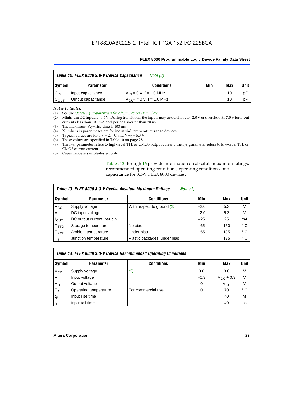| Table 12. FLEX 8000 5.0-V Device Capacitance<br>Note (8) |                    |                               |     |     |             |  |
|----------------------------------------------------------|--------------------|-------------------------------|-----|-----|-------------|--|
| Symbol                                                   | <b>Parameter</b>   | <b>Conditions</b>             | Min | Max | <b>Unit</b> |  |
| $C_{IN}$                                                 | Input capacitance  | $V_{IN} = 0 V, f = 1.0 MHz$   |     | 10  | рF          |  |
| $C_{\text{OUT}}$                                         | Output capacitance | $V_{OIII}$ = 0 V, f = 1.0 MHz |     | 10  | рF          |  |

#### *Notes to tables:*

(1) See the *Operating Requirements for Altera Devices Data Sheet*.

- (2) Minimum DC input is –0.5 V. During transitions, the inputs may undershoot to –2.0 V or overshoot to 7.0 V for input currents less than 100 mA and periods shorter than 20 ns.
- (3) The maximum  $V_{CC}$  rise time is 100 ms.
- (4) Numbers in parentheses are for industrial-temperature-range devices.
- (5) Typical values are for  $T_A = 25^\circ$  C and  $V_{CC} = 5.0$  V.
- (6) These values are specified in Table 10 on page 28.
- (7) The  $I_{OH}$  parameter refers to high-level TTL or CMOS output current; the  $I_{OL}$  parameter refers to low-level TTL or CMOS output current.
- (8) Capacitance is sample-tested only.

Tables 13 through 16 provide information on absolute maximum ratings, recommended operating conditions, operating conditions, and capacitance for 3.3-V FLEX 8000 devices.

|                         | Table 13. FLEX 8000 3.3-V Device Absolute Maximum Ratings<br><i>Note</i> $(1)$ |                              |        |     |             |  |  |  |
|-------------------------|--------------------------------------------------------------------------------|------------------------------|--------|-----|-------------|--|--|--|
| Symbol                  | <b>Parameter</b>                                                               | <b>Conditions</b>            | Min    | Max | <b>Unit</b> |  |  |  |
| $V_{CC}$                | Supply voltage                                                                 | With respect to ground (2)   | $-2.0$ | 5.3 | V           |  |  |  |
| V <sub>1</sub>          | DC input voltage                                                               |                              | $-2.0$ | 5.3 | v           |  |  |  |
| $I_{\text{OUT}}$        | DC output current, per pin                                                     |                              | $-25$  | 25  | mA          |  |  |  |
| T <sub>STG</sub>        | Storage temperature                                                            | No bias                      | $-65$  | 150 | ° C         |  |  |  |
| <b>T</b> <sub>AMB</sub> | Ambient temperature                                                            | Under bias                   | $-65$  | 135 | ° C         |  |  |  |
| $T_J$                   | Junction temperature                                                           | Plastic packages, under bias |        | 135 | ° C         |  |  |  |

|              | Table 14. FLEX 8000 3.3-V Device Recommended Operating Conditions |                    |          |                    |        |  |  |
|--------------|-------------------------------------------------------------------|--------------------|----------|--------------------|--------|--|--|
| Symbol       | <b>Parameter</b>                                                  | <b>Conditions</b>  | Min      | Max                | Unit I |  |  |
| $V_{\rm CC}$ | Supply voltage                                                    | (3)                | 3.0      | 3.6                | V      |  |  |
| $V_{1}$      | Input voltage                                                     |                    | $-0.3$   | $V_{\rm CC}$ + 0.3 | $\vee$ |  |  |
| $V_{\rm O}$  | Output voltage                                                    |                    | $\Omega$ | $V_{\rm CC}$       | $\vee$ |  |  |
| $T_A$        | Operating temperature                                             | For commercial use | 0        | 70                 | ۰c     |  |  |
| $t_{R}$      | Input rise time                                                   |                    |          | 40                 | ns     |  |  |
| $t_F$        | Input fall time                                                   |                    |          | 40                 | ns     |  |  |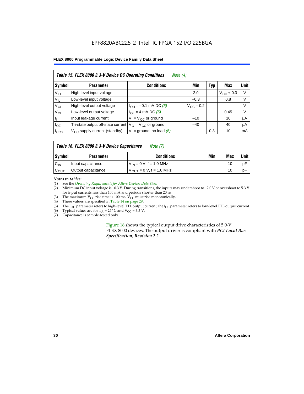#### EPF8820ABC225-2 Intel IC FPGA 152 I/O 225BGA

#### **FLEX 8000 Programmable Logic Device Family Data Sheet**

|                 | Table 15. FLEX 8000 3.3-V Device DC Operating Conditions<br>Note $(4)$ |                                          |                    |     |                    |             |  |  |  |
|-----------------|------------------------------------------------------------------------|------------------------------------------|--------------------|-----|--------------------|-------------|--|--|--|
| Symbol          | <b>Parameter</b>                                                       | <b>Conditions</b>                        | Min                | Typ | Max                | <b>Unit</b> |  |  |  |
| V <sub>IH</sub> | High-level input voltage                                               |                                          | 2.0                |     | $V_{\rm CC}$ + 0.3 | $\vee$      |  |  |  |
| $V_{IL}$        | Low-level input voltage                                                |                                          | $-0.3$             |     | 0.8                | V           |  |  |  |
| $V_{OH}$        | High-level output voltage                                              | $I_{OH} = -0.1$ mA DC (5)                | $V_{\rm CC}$ – 0.2 |     |                    | V           |  |  |  |
| $V_{OL}$        | Low-level output voltage                                               | $I_{OL}$ = 4 mA DC (5)                   |                    |     | 0.45               | $\vee$      |  |  |  |
| Пı              | Input leakage current                                                  | $V_1 = V_{CC}$ or ground                 | $-10$              |     | 10                 | μA          |  |  |  |
| $I_{OZ}$        | Tri-state output off-state current                                     | $V_{\text{O}} = V_{\text{CC}}$ or ground | $-40$              |     | 40                 | μA          |  |  |  |
| ICCO            | $V_{\text{CC}}$ supply current (standby)                               | $V_1$ = ground, no load (6)              |                    | 0.3 | 10                 | mA          |  |  |  |

#### *Table 16. FLEX 8000 3.3-V Device Capacitance Note (7)*

| Symbol           | <b>Parameter</b>   | <b>Conditions</b>                   | Min | Max | Unit |
|------------------|--------------------|-------------------------------------|-----|-----|------|
| $C_{IN}$         | Input capacitance  | $V_{IN} = 0 V$ , f = 1.0 MHz        |     | 10  | рF   |
| $c_{\text{OUT}}$ | Output capacitance | $V_{\text{OUT}} = 0 V, f = 1.0 MHz$ |     | 10  | рF   |

#### *Notes to tables:*

(1) See the *Operating Requirements for Altera Devices Data Sheet*.

- (2) Minimum DC input voltage is –0.3 V. During transitions, the inputs may undershoot to –2.0 V or overshoot to 5.3 V for input currents less than 100 mA and periods shorter than 20 ns.
- (3) The maximum  $V_{CC}$  rise time is 100 ms.  $V_{CC}$  must rise monotonically.<br>(4) These values are specified in Table 14 on page 29.
- These values are specified in Table 14 on page 29.
- (5) The I<sub>OH</sub> parameter refers to high-level TTL output current; the I<sub>OL</sub> parameter refers to low-level TTL output current.<br>(6) Typical values are for T<sub>A</sub> = 25° C and V<sub>CC</sub> = 3.3 V.
- (6) Typical values are for  $T_A = 25^\circ$  C and  $V_{CC} = 3.3$  V.<br>(7) Capacitance is sample-tested only.
- Capacitance is sample-tested only.

Figure 16 shows the typical output drive characteristics of 5.0-V FLEX 8000 devices. The output driver is compliant with *PCI Local Bus Specification, Revision 2.2*.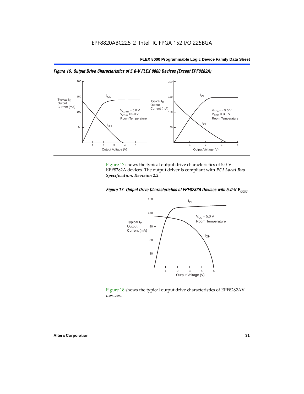



Figure 17 shows the typical output drive characteristics of 5.0-V EPF8282A devices. The output driver is compliant with *PCI Local Bus Specification, Revision 2.2*.





Figure 18 shows the typical output drive characteristics of EPF8282AV devices.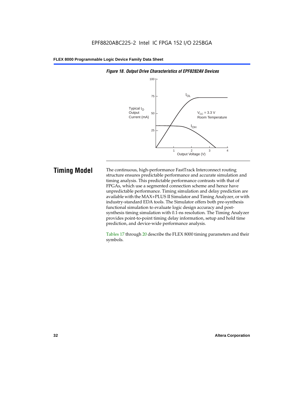

#### *Figure 18. Output Drive Characteristics of EPF8282AV Devices*

**Timing Model** The continuous, high-performance FastTrack Interconnect routing structure ensures predictable performance and accurate simulation and timing analysis. This predictable performance contrasts with that of FPGAs, which use a segmented connection scheme and hence have unpredictable performance. Timing simulation and delay prediction are available with the MAX+PLUS II Simulator and Timing Analyzer, or with industry-standard EDA tools. The Simulator offers both pre-synthesis functional simulation to evaluate logic design accuracy and postsynthesis timing simulation with 0.1-ns resolution. The Timing Analyzer provides point-to-point timing delay information, setup and hold time prediction, and device-wide performance analysis.

> Tables 17 through 20 describe the FLEX 8000 timing parameters and their symbols.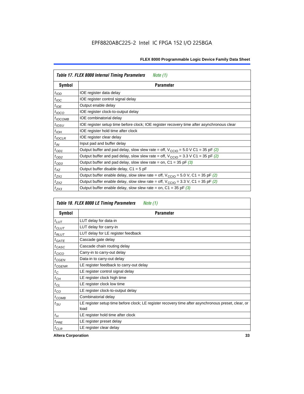| Table 17. FLEX 8000 Internal Timing Parameters<br>Note $(1)$ |                                                                                                              |  |  |  |
|--------------------------------------------------------------|--------------------------------------------------------------------------------------------------------------|--|--|--|
| Symbol                                                       | <b>Parameter</b>                                                                                             |  |  |  |
| $t_{\text{IOD}}$                                             | IOE register data delay                                                                                      |  |  |  |
| $t_{\text{IOC}}$                                             | IOE register control signal delay                                                                            |  |  |  |
| $t_{IOE}$                                                    | Output enable delay                                                                                          |  |  |  |
| $t_{IOCO}$                                                   | IOE register clock-to-output delay                                                                           |  |  |  |
| $t_{IOCOMB}$                                                 | IOE combinatorial delay                                                                                      |  |  |  |
| $t_{IOSU}$                                                   | IOE register setup time before clock; IOE register recovery time after asynchronous clear                    |  |  |  |
| $t_{IOH}$                                                    | IOE register hold time after clock                                                                           |  |  |  |
| $t_{IOCLR}$                                                  | IOE register clear delay                                                                                     |  |  |  |
| $t_{IN}$                                                     | Input pad and buffer delay                                                                                   |  |  |  |
| $t_{OD1}$                                                    | Output buffer and pad delay, slow slew rate = off, $V_{\text{CCIO}} = 5.0 \text{ V C1} = 35 \text{ pF } (2)$ |  |  |  |
| $t_{OD2}$                                                    | Output buffer and pad delay, slow slew rate = off, $V_{\text{CCIO}} = 3.3 \text{ V C1} = 35 \text{ pF}$ (2)  |  |  |  |
| $t_{OD3}$                                                    | Output buffer and pad delay, slow slew rate = on, $C1 = 35$ pF (3)                                           |  |  |  |
| $t_{XZ}$                                                     | Output buffer disable delay, $C1 = 5$ pF                                                                     |  |  |  |
| $t_{ZX1}$                                                    | Output buffer enable delay, slow slew rate = off, $V_{\text{CCIO}} = 5.0$ V, C1 = 35 pF (2)                  |  |  |  |
| $t_{ZX2}$                                                    | Output buffer enable delay, slow slew rate = off, $V_{\text{CCIO}} = 3.3$ V, C1 = 35 pF (2)                  |  |  |  |
| $t_{ZX3}$                                                    | Output buffer enable delay, slow slew rate = on, $C1 = 35$ pF (3)                                            |  |  |  |

| Table 18. FLEX 8000 LE Timing Parameters<br>Note (1) |                                                                                                             |  |  |  |
|------------------------------------------------------|-------------------------------------------------------------------------------------------------------------|--|--|--|
| Symbol                                               | <b>Parameter</b>                                                                                            |  |  |  |
| $t_{LUT}$                                            | LUT delay for data-in                                                                                       |  |  |  |
| $t_{CLUT}$                                           | LUT delay for carry-in                                                                                      |  |  |  |
| $t_{RLUT}$                                           | LUT delay for LE register feedback                                                                          |  |  |  |
| $t$ GATE                                             | Cascade gate delay                                                                                          |  |  |  |
| $t_{CASC}$                                           | Cascade chain routing delay                                                                                 |  |  |  |
| $t_{CICO}$                                           | Carry-in to carry-out delay                                                                                 |  |  |  |
| $t_{CGEN}$                                           | Data-in to carry-out delay                                                                                  |  |  |  |
| ${}^{t}$ CGENR                                       | LE register feedback to carry-out delay                                                                     |  |  |  |
| $t_C$                                                | LE register control signal delay                                                                            |  |  |  |
| $t_{CH}$                                             | LE register clock high time                                                                                 |  |  |  |
| $t_{CL}$                                             | LE register clock low time                                                                                  |  |  |  |
| $t_{CO}$                                             | LE register clock-to-output delay                                                                           |  |  |  |
| $t_{COMB}$                                           | Combinatorial delay                                                                                         |  |  |  |
| t <sub>SU</sub>                                      | LE register setup time before clock; LE register recovery time after asynchronous preset, clear, or<br>load |  |  |  |
| $t_H$                                                | LE register hold time after clock                                                                           |  |  |  |
| $t_{PRE}$                                            | LE register preset delay                                                                                    |  |  |  |
| $t_{CLR}$                                            | LE register clear delay                                                                                     |  |  |  |

**Altera Corporation 33**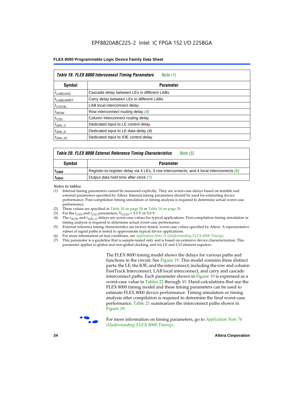| Table 19. FLEX 8000 Interconnect Timing Parameters<br>Note (1) |                                             |  |  |  |  |
|----------------------------------------------------------------|---------------------------------------------|--|--|--|--|
| Symbol                                                         | <b>Parameter</b>                            |  |  |  |  |
| <sup>t</sup> LABCASC                                           | Cascade delay between LEs in different LABs |  |  |  |  |
| $t_{LABCARRY}$                                                 | Carry delay between LEs in different LABs   |  |  |  |  |
| $t_{\text{LOCAL}}$                                             | LAB local interconnect delay                |  |  |  |  |
| $t_{ROW}$                                                      | Row interconnect routing delay (4)          |  |  |  |  |
| $t_{COL}$                                                      | Column interconnect routing delay           |  |  |  |  |
| $t_{DIN}$ $C$                                                  | Dedicated input to LE control delay         |  |  |  |  |
| $t_{DIN}$ D                                                    | Dedicated input to LE data delay (4)        |  |  |  |  |
| $t_{DIN}$ 10                                                   | Dedicated input to IOE control delay        |  |  |  |  |

#### *Table 20. FLEX 8000 External Reference Timing Characteristics Note (5)*

| Symbol<br>Parameter |                                                                                            |  |  |  |
|---------------------|--------------------------------------------------------------------------------------------|--|--|--|
| <sup>T</sup> DRR    | Register-to-register delay via 4 LEs, 3 row interconnects, and 4 local interconnects $(6)$ |  |  |  |
| <sup>L</sup> ODH    | Output data hold time after clock (7)                                                      |  |  |  |

*Notes to tables:*

- (1) Internal timing parameters cannot be measured explicitly. They are worst-case delays based on testable and external parameters specified by Altera. Internal timing parameters should be used for estimating device performance. Post-compilation timing simulation or timing analysis is required to determine actual worst-case performance.
- (2) These values are specified in Table 10 on page 28 or Table 14 on page 29.<br>(3) For the  $t_{OD3}$  and  $t_{ZX3}$  parameters,  $V_{CCIO} = 3.3$  V or 5.0 V.
- (3) For the  $t_{OD3}$  and  $t_{ZX3}$  parameters,  $V_{CCIO} = 3.3$  V or 5.0 V.<br>(4) The  $t_{ROM}$  and  $t_{DIN}$   $_D$  delays are worst-case values for type
- The *t<sub>ROW</sub>* and *t<sub>DIN\_D</sub>* delays are worst-case values for typical applications. Post-compilation timing simulation or timing analysis is required to determine actual worst-case performance.
- (5) External reference timing characteristics are factory-tested, worst-case values specified by Altera. A representative subset of signal paths is tested to approximate typical device applications.
- (6) For more information on test conditions, see *Application Note 76* (*Understanding FLEX 8000 Timing*).
- (7) This parameter is a guideline that is sample-tested only and is based on extensive device characterization. This parameter applies to global and non-global clocking, and for LE and I/O element registers.

The FLEX 8000 timing model shows the delays for various paths and functions in the circuit. See Figure 19. This model contains three distinct parts: the LE; the IOE; and the interconnect, including the row and column FastTrack Interconnect, LAB local interconnect, and carry and cascade interconnect paths. Each parameter shown in Figure 19 is expressed as a worst-case value in Tables 22 through 49. Hand-calculations that use the FLEX 8000 timing model and these timing parameters can be used to estimate FLEX 8000 device performance. Timing simulation or timing analysis after compilation is required to determine the final worst-case performance. Table 21 summarizes the interconnect paths shown in Figure 19.



f For more information on timing parameters, go to *Application Note 76 (Understanding FLEX 8000 Timing)*.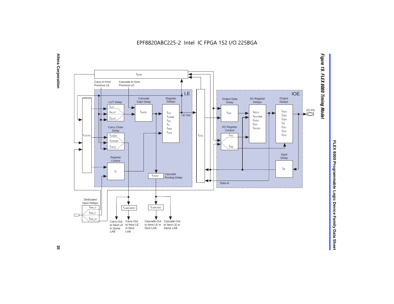EPF8820ABC225-2 Intel IC FPGA 152 I/O 225BGA





# FLEX 8000 Programmable Logic Device Family Data Sheet **FLEX 8000 Programmable Logic Device Family Data Sheet**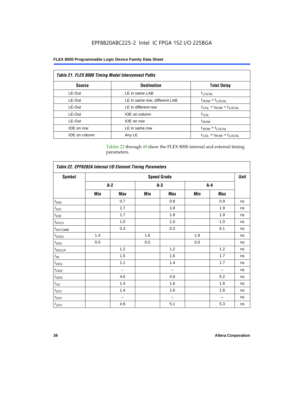## EPF8820ABC225-2 Intel IC FPGA 152 I/O 225BGA

#### **FLEX 8000 Programmable Logic Device Family Data Sheet**

| <b>Table 21. FLEX 8000 Timing Model Interconnect Paths</b> |                               |                                 |  |  |  |  |
|------------------------------------------------------------|-------------------------------|---------------------------------|--|--|--|--|
| <b>Source</b>                                              | <b>Destination</b>            | <b>Total Delay</b>              |  |  |  |  |
| LE-Out                                                     | LE in same LAB                | $t_{LOCAL}$                     |  |  |  |  |
| LE-Out                                                     | LE in same row, different LAB | $t_{ROW} + t_{LOCAL}$           |  |  |  |  |
| LE-Out                                                     | LE in different row           | $t_{COL} + t_{ROW} + t_{LOCAL}$ |  |  |  |  |
| LE-Out                                                     | IOE on column                 | $t_{COL}$                       |  |  |  |  |
| LE-Out                                                     | IOE on row                    | $t_{ROW}$                       |  |  |  |  |
| IOE on row                                                 | LE in same row                | $t_{ROW} + t_{LOCAL}$           |  |  |  |  |
| IOE on column                                              | Any LE                        | $t_{COL} + t_{ROW} + t_{LOCAL}$ |  |  |  |  |

Tables 22 through 49 show the FLEX 8000 internal and external timing parameters.

| Table 22. EPF8282A Internal I/O Element Timing Parameters |                    |       |       |                          |       |     |    |  |  |
|-----------------------------------------------------------|--------------------|-------|-------|--------------------------|-------|-----|----|--|--|
| <b>Symbol</b>                                             | <b>Speed Grade</b> |       |       |                          |       |     |    |  |  |
|                                                           |                    | $A-2$ | $A-3$ |                          | $A-4$ |     |    |  |  |
|                                                           | Min                | Max   | Min   | Max                      | Min   | Max |    |  |  |
| t <sub>IOD</sub>                                          |                    | 0.7   |       | 0.8                      |       | 0.9 | ns |  |  |
| $t_{\textit{IOC}}$                                        |                    | 1.7   |       | 1.8                      |       | 1.9 | ns |  |  |
| $t_{IOE}$                                                 |                    | 1.7   |       | 1.8                      |       | 1.9 | ns |  |  |
| $t_{IOCO}$                                                |                    | 1.0   |       | 1.0                      |       | 1.0 | ns |  |  |
| $t_{IOCOMB}$                                              |                    | 0.3   |       | 0.2                      |       | 0.1 | ns |  |  |
| $t_{IOSU}$                                                | 1.4                |       | 1.6   |                          | 1.8   |     | ns |  |  |
| $t_{IOH}$                                                 | 0.0                |       | 0.0   |                          | 0.0   |     | ns |  |  |
| $t_{IOCLR}$                                               |                    | 1.2   |       | 1.2                      |       | 1.2 | ns |  |  |
| $t_{I\!N}$                                                |                    | 1.5   |       | 1.6                      |       | 1.7 | ns |  |  |
| $t_{OD1}$                                                 |                    | 1.1   |       | 1.4                      |       | 1.7 | ns |  |  |
| $t_{OD2}$                                                 |                    | -     |       | -                        |       |     | ns |  |  |
| $t_{0\underline{\underline{\mathsf{D}}}}$                 |                    | 4.6   |       | 4.9                      |       | 5.2 | ns |  |  |
| $t_{XZ}$                                                  |                    | 1.4   |       | 1.6                      |       | 1.8 | ns |  |  |
| $t_{ZX1}$                                                 |                    | 1.4   |       | 1.6                      |       | 1.8 | ns |  |  |
| $t_{Z\!X\!Z}$                                             |                    | -     |       | $\overline{\phantom{0}}$ |       |     | ns |  |  |
| $t_{ZX3}$                                                 |                    | 4.9   |       | 5.1                      |       | 5.3 | ns |  |  |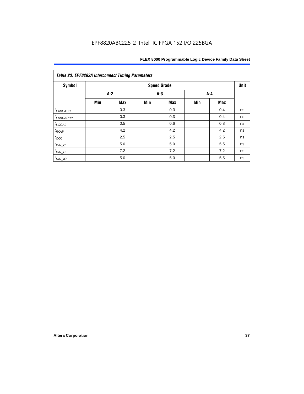| <b>Symbol</b>         |       |            |     | <b>Speed Grade</b> |       |     | Unit |
|-----------------------|-------|------------|-----|--------------------|-------|-----|------|
|                       | $A-2$ |            |     | $A-3$              | $A-4$ |     |      |
|                       | Min   | <b>Max</b> | Min | <b>Max</b>         | Min   | Max |      |
| $t_{LABCASC}$         |       | 0.3        |     | 0.3                |       | 0.4 | ns   |
| <sup>t</sup> LABCARRY |       | 0.3        |     | 0.3                |       | 0.4 | ns   |
| $t_{\text{LOCAL}}$    |       | 0.5        |     | 0.6                |       | 0.8 | ns   |
| $t_{ROW}$             |       | 4.2        |     | 4.2                |       | 4.2 | ns   |
| $t_{COL}$             |       | 2.5        |     | 2.5                |       | 2.5 | ns   |
| $t_{DIN\_C}$          |       | 5.0        |     | 5.0                |       | 5.5 | ns   |
| $t_{DIN\_D}$          |       | 7.2        |     | 7.2                |       | 7.2 | ns   |
| $t_{DIN\_IO}$         |       | 5.0        |     | 5.0                |       | 5.5 | ns   |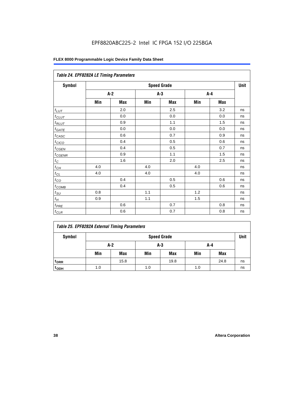| Table 24. EPF8282A LE Timing Parameters |     |            |     |                    |     |     |             |  |  |
|-----------------------------------------|-----|------------|-----|--------------------|-----|-----|-------------|--|--|
| Symbol                                  |     |            |     | <b>Speed Grade</b> |     |     | <b>Unit</b> |  |  |
|                                         |     | $A-2$      |     | $A-3$              |     | A-4 |             |  |  |
|                                         | Min | <b>Max</b> | Min | Max                | Min | Max |             |  |  |
| $t_{LUT}$                               |     | 2.0        |     | 2.5                |     | 3.2 | ns          |  |  |
| $t$ CLUT                                |     | 0.0        |     | 0.0                |     | 0.0 | ns          |  |  |
| $t_{RLUT}$                              |     | 0.9        |     | 1.1                |     | 1.5 | ns          |  |  |
| $t_{GATE}$                              |     | 0.0        |     | 0.0                |     | 0.0 | ns          |  |  |
| $t_{\mathsf{CASC}}$                     |     | 0.6        |     | 0.7                |     | 0.9 | ns          |  |  |
| $t_{CICO}$                              |     | 0.4        |     | 0.5                |     | 0.6 | ns          |  |  |
| $t_{CGEN}$                              |     | 0.4        |     | 0.5                |     | 0.7 | ns          |  |  |
| $t_{CGENR}$                             |     | 0.9        |     | 1.1                |     | 1.5 | ns          |  |  |
| $t_C$                                   |     | 1.6        |     | 2.0                |     | 2.5 | ns          |  |  |
| $t_{C\underline{H}}$                    | 4.0 |            | 4.0 |                    | 4.0 |     | ns          |  |  |
| $t_{CL}$                                | 4.0 |            | 4.0 |                    | 4.0 |     | ns          |  |  |
| $t_{CQ}$                                |     | 0.4        |     | 0.5                |     | 0.6 | ns          |  |  |
| $t_{COMB}$                              |     | 0.4        |     | 0.5                |     | 0.6 | ns          |  |  |
| $t_{\text{SU}}$                         | 0.8 |            | 1.1 |                    | 1.2 |     | ns          |  |  |
| $t_H$                                   | 0.9 |            | 1.1 |                    | 1.5 |     | ns          |  |  |
| $t_{PRE}$                               |     | 0.6        |     | 0.7                |     | 0.8 | ns          |  |  |
| $t_{CLR}$                               |     | 0.6        |     | 0.7                |     | 0.8 | ns          |  |  |

|  |  | <b>Table 25. EPF8282A External Timing Parameters</b> |
|--|--|------------------------------------------------------|
|  |  |                                                      |

| Symbol           | <b>Speed Grade</b> |      |     |            |     |            |    |
|------------------|--------------------|------|-----|------------|-----|------------|----|
|                  | A-2<br>A-3         |      | A-4 |            |     |            |    |
|                  | Min                | Max  | Min | <b>Max</b> | Min | <b>Max</b> |    |
| <sup>t</sup> DRR |                    | 15.8 |     | 19.8       |     | 24.8       | ns |
| t <sub>ODH</sub> | 1.0                |      | 1.0 |            | 1.0 |            | ns |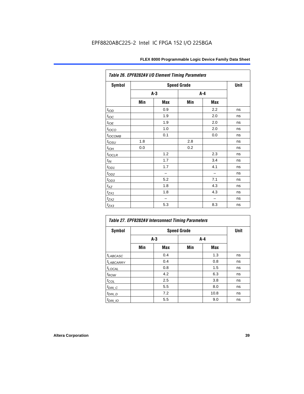| Table 26. EPF8282AV I/O Element Timing Parameters |     |       |       |                          |    |  |  |  |
|---------------------------------------------------|-----|-------|-------|--------------------------|----|--|--|--|
| <b>Symbol</b>                                     |     | Unit  |       |                          |    |  |  |  |
|                                                   |     | $A-3$ | $A-4$ |                          |    |  |  |  |
|                                                   | Min | Max   | Min   | Max                      |    |  |  |  |
| t <sub>IOD</sub>                                  |     | 0.9   |       | 2.2                      | ns |  |  |  |
| $t_{\text{loc}}$                                  |     | 1.9   |       | 2.0                      | ns |  |  |  |
| $t_{IOE}$                                         |     | 1.9   |       | 2.0                      | ns |  |  |  |
| $t_{IOCO}$                                        |     | 1.0   |       | 2.0                      | ns |  |  |  |
| t <sub>IOCOMB</sub>                               |     | 0.1   |       | 0.0                      | ns |  |  |  |
| $t_{IOSU}$                                        | 1.8 |       | 2.8   |                          | ns |  |  |  |
| $t_{IOH}$                                         | 0.0 |       | 0.2   |                          | ns |  |  |  |
| $t_{IOCLR}$                                       |     | 1.2   |       | 2.3                      | ns |  |  |  |
| $t_{\text{IN}}$                                   |     | 1.7   |       | 3.4                      | ns |  |  |  |
| $t_{\text{OD1}}$                                  |     | 1.7   |       | 4.1                      | ns |  |  |  |
| $t_{\rm OD2}$                                     |     |       |       | $\overline{\phantom{0}}$ | ns |  |  |  |
| $t_{OD3}$                                         |     | 5.2   |       | 7.1                      | ns |  |  |  |
| $t_{XZ}$                                          |     | 1.8   |       | 4.3                      | ns |  |  |  |
| $t_{ZX1}$                                         |     | 1.8   |       | 4.3                      | ns |  |  |  |
| $t_{ZX2}$                                         |     |       |       |                          | ns |  |  |  |
| $t_{ZX3}$                                         |     | 5.3   |       | 8.3                      | ns |  |  |  |

| Symbol                 |     | <b>Speed Grade</b> |       |      |    |  |  |  |  |
|------------------------|-----|--------------------|-------|------|----|--|--|--|--|
|                        |     | $A-3$              | $A-4$ |      |    |  |  |  |  |
|                        | Min | <b>Max</b>         | Min   | Max  |    |  |  |  |  |
| $t_{LABCASC}$          |     | 0.4                |       | 1.3  | ns |  |  |  |  |
| <b><i>LABCARRY</i></b> |     | 0.4                |       | 0.8  | ns |  |  |  |  |
| t <sub>LOCAL</sub>     |     | 0.8                |       | 1.5  | ns |  |  |  |  |
| $t_{\mathit{ROW}}$     |     | 4.2                |       | 6.3  | ns |  |  |  |  |
| $t_{COL}$              |     | 2.5                |       | 3.8  | ns |  |  |  |  |
| $t_{DI N_C}$           |     | 5.5                |       | 8.0  | ns |  |  |  |  |
| $t_{DIN\_D}$           |     | 7.2                |       | 10.8 | ns |  |  |  |  |
| $t_{DIN\_IO}$          |     | 5.5                |       | 9.0  | ns |  |  |  |  |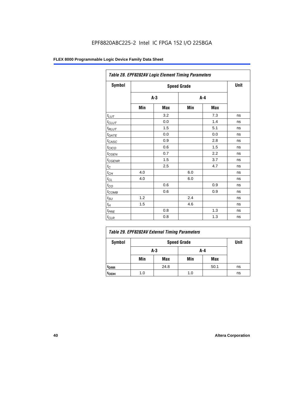| Table 28. EPF8282AV Logic Element Timing Parameters |       |      |     |         |    |  |  |  |
|-----------------------------------------------------|-------|------|-----|---------|----|--|--|--|
| Symbol                                              |       | Unit |     |         |    |  |  |  |
|                                                     | $A-3$ |      |     | $A - 4$ |    |  |  |  |
|                                                     | Min   | Max  | Min | Max     |    |  |  |  |
| $t_{LUT}$                                           |       | 3.2  |     | 7.3     | ns |  |  |  |
| $t_{CLUT}$                                          |       | 0.0  |     | 1.4     | ns |  |  |  |
| $t_{RLUT}$                                          |       | 1.5  |     | 5.1     | ns |  |  |  |
| $t_{GATE}$                                          |       | 0.0  |     | 0.0     | ns |  |  |  |
| $t_{CASC}$                                          |       | 0.9  |     | 2.8     | ns |  |  |  |
| $t_{CICO}$                                          |       | 0.6  |     | 1.5     | ns |  |  |  |
| $t_{\text{GEN}}$                                    |       | 0.7  |     | 2.2     | ns |  |  |  |
| $t_{\text{GENR}}$                                   |       | 1.5  |     | 3.7     | ns |  |  |  |
| $t_{\rm C}$                                         |       | 2.5  |     | 4.7     | ns |  |  |  |
| $t_{CH}$                                            | 4.0   |      | 6.0 |         | ns |  |  |  |
| $t_{CL}$                                            | 4.0   |      | 6.0 |         | ns |  |  |  |
| $t_{CO}$                                            |       | 0.6  |     | 0.9     | ns |  |  |  |
| $t_{COMB}$                                          |       | 0.6  |     | 0.9     | ns |  |  |  |
| $t_{\text{S}\underline{U}}$                         | 1.2   |      | 2.4 |         | ns |  |  |  |
| $t_H$                                               | 1.5   |      | 4.6 |         | ns |  |  |  |
| $t_{PRE}$                                           |       | 0.8  |     | 1.3     | ns |  |  |  |
| $t_{CLR}$                                           |       | 0.8  |     | 1.3     | ns |  |  |  |

| Table 29. EPF8282AV External Timing Parameters |            |      |      |      |    |  |  |
|------------------------------------------------|------------|------|------|------|----|--|--|
| Symbol                                         |            |      | Unit |      |    |  |  |
|                                                | A-4<br>A-3 |      |      |      |    |  |  |
|                                                | Min        | Max  | Min  | Max  |    |  |  |
| <sup>t</sup> DRR                               |            | 24.8 |      | 50.1 | ns |  |  |
| t <sub>ODH</sub>                               | 1.0        |      | 1.0  |      | ns |  |  |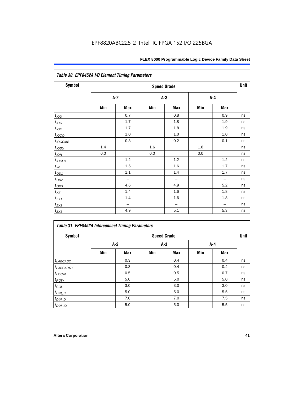| Table 30. EPF8452A I/O Element Timing Parameters |                    |                          |       |                          |     |                          |    |  |  |  |
|--------------------------------------------------|--------------------|--------------------------|-------|--------------------------|-----|--------------------------|----|--|--|--|
| <b>Symbol</b>                                    | <b>Speed Grade</b> |                          |       |                          |     |                          |    |  |  |  |
|                                                  | $A-2$              |                          | $A-3$ |                          |     | $A-4$                    |    |  |  |  |
|                                                  | Min                | Max                      | Min   | Max                      | Min | Max                      |    |  |  |  |
| t <sub>IOD</sub>                                 |                    | 0.7                      |       | 0.8                      |     | 0.9                      | ns |  |  |  |
| $t_{\text{IOC}}$                                 |                    | 1.7                      |       | 1.8                      |     | 1.9                      | ns |  |  |  |
| $t_{IOE}$                                        |                    | 1.7                      |       | 1.8                      |     | 1.9                      | ns |  |  |  |
| $t_{IOCO}$                                       |                    | 1.0                      |       | 1.0                      |     | 1.0                      | ns |  |  |  |
| $t_{IOCOMB}$                                     |                    | 0.3                      |       | 0.2                      |     | 0.1                      | ns |  |  |  |
| $t_{IOSU}$                                       | 1.4                |                          | 1.6   |                          | 1.8 |                          | ns |  |  |  |
| $t_{IOH}$                                        | 0.0                |                          | 0.0   |                          | 0.0 |                          | ns |  |  |  |
| $t_{IOCLR}$                                      |                    | 1.2                      |       | 1.2                      |     | 1.2                      | ns |  |  |  |
| $t_{I\!N}$                                       |                    | 1.5                      |       | 1.6                      |     | 1.7                      | ns |  |  |  |
| $t_{OD1}$                                        |                    | 1.1                      |       | 1.4                      |     | 1.7                      | ns |  |  |  |
| $t_{OD2}$                                        |                    | $\overline{\phantom{0}}$ |       | $\overline{\phantom{0}}$ |     | $\overline{\phantom{0}}$ | ns |  |  |  |
| $t_{OD3}$                                        |                    | 4.6                      |       | 4.9                      |     | 5.2                      | ns |  |  |  |
| $t_{XZ}$                                         |                    | 1.4                      |       | 1.6                      |     | 1.8                      | ns |  |  |  |
| $t_{ZX1}$                                        |                    | 1.4                      |       | 1.6                      |     | 1.8                      | ns |  |  |  |
| $t_{ZX2}$                                        |                    | $\qquad \qquad -$        |       | $\overline{\phantom{0}}$ |     | $\overline{\phantom{0}}$ | ns |  |  |  |
| $t_{ZX3}$                                        |                    | 4.9                      |       | 5.1                      |     | 5.3                      | ns |  |  |  |

#### *Table 31. EPF8452A Interconnect Timing Parameters*

| Symbol                |       | <b>Speed Grade</b> |     |       |     |       |    |  |  |
|-----------------------|-------|--------------------|-----|-------|-----|-------|----|--|--|
|                       | $A-2$ |                    |     | $A-3$ |     | $A-4$ |    |  |  |
|                       | Min   | Max                | Min | Max   | Min | Max   |    |  |  |
| $t_{LABCASC}$         |       | 0.3                |     | 0.4   |     | 0.4   | ns |  |  |
| t <sub>LABCARRY</sub> |       | 0.3                |     | 0.4   |     | 0.4   | ns |  |  |
| $t_{\text{LOCAL}}$    |       | 0.5                |     | 0.5   |     | 0.7   | ns |  |  |
| $t_{ROW}$             |       | 5.0                |     | 5.0   |     | 5.0   | ns |  |  |
| $t_{COL}$             |       | 3.0                |     | 3.0   |     | 3.0   | ns |  |  |
| $t_{DIN\_C}$          |       | 5.0                |     | 5.0   |     | 5.5   | ns |  |  |
| $t_{DIN\_D}$          |       | 7.0                |     | 7.0   |     | 7.5   | ns |  |  |
| $t_{DIN\_IO}$         |       | 5.0                |     | 5.0   |     | 5.5   | ns |  |  |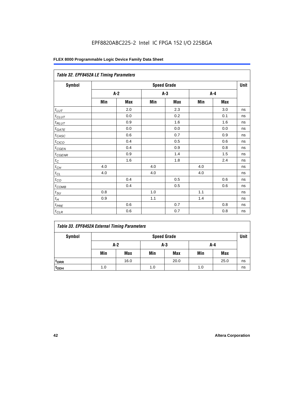|               | Table 32. EPF8452A LE Timing Parameters |     |       |                    |       |     |             |  |  |  |
|---------------|-----------------------------------------|-----|-------|--------------------|-------|-----|-------------|--|--|--|
| <b>Symbol</b> |                                         |     |       | <b>Speed Grade</b> |       |     | <b>Unit</b> |  |  |  |
|               | $A-2$                                   |     | $A-3$ |                    | $A-4$ |     |             |  |  |  |
|               | Min                                     | Max | Min   | Max                | Min   | Max |             |  |  |  |
| $t_{LUT}$     |                                         | 2.0 |       | 2.3                |       | 3.0 | ns          |  |  |  |
| $t_{CLUT}$    |                                         | 0.0 |       | 0.2                |       | 0.1 | ns          |  |  |  |
| $t_{RLUT}$    |                                         | 0.9 |       | 1.6                |       | 1.6 | ns          |  |  |  |
| $t_{GATE}$    |                                         | 0.0 |       | 0.0                |       | 0.0 | ns          |  |  |  |
| $t_{CASC}$    |                                         | 0.6 |       | 0.7                |       | 0.9 | ns          |  |  |  |
| $t_{CICO}$    |                                         | 0.4 |       | 0.5                |       | 0.6 | ns          |  |  |  |
| $t_{CSEN}$    |                                         | 0.4 |       | 0.9                |       | 0.8 | ns          |  |  |  |
| $t_{CGENR}$   |                                         | 0.9 |       | 1.4                |       | 1.5 | ns          |  |  |  |
| $t_C$         |                                         | 1.6 |       | 1.8                |       | 2.4 | ns          |  |  |  |
| $t_{CH}$      | 4.0                                     |     | 4.0   |                    | 4.0   |     | ns          |  |  |  |
| $t_{CL}$      | 4.0                                     |     | 4.0   |                    | 4.0   |     | ns          |  |  |  |
| $t_{CO}$      |                                         | 0.4 |       | 0.5                |       | 0.6 | ns          |  |  |  |
| $t_{COMB}$    |                                         | 0.4 |       | 0.5                |       | 0.6 | ns          |  |  |  |
| $t_{SU}$      | 0.8                                     |     | 1.0   |                    | 1.1   |     | ns          |  |  |  |
| $t_H$         | 0.9                                     |     | 1.1   |                    | 1.4   |     | ns          |  |  |  |
| $t_{PRE}$     |                                         | 0.6 |       | 0.7                |       | 0.8 | ns          |  |  |  |
| $t_{CLR}$     |                                         | 0.6 |       | 0.7                |       | 0.8 | ns          |  |  |  |

#### *Table 33. EPF8452A External Timing Parameters*

| Symbol                      | <b>Speed Grade</b> |      |     |            |     |            |    |
|-----------------------------|--------------------|------|-----|------------|-----|------------|----|
|                             | A-2<br>$A-3$       |      |     | A-4        |     |            |    |
|                             | Min                | Max  | Min | <b>Max</b> | Min | <b>Max</b> |    |
| <sup>t</sup> <sub>DRR</sub> |                    | 16.0 |     | 20.0       |     | 25.0       | ns |
| t <sub>ODH</sub>            | 1.0                |      | 1.0 |            | 1.0 |            | ns |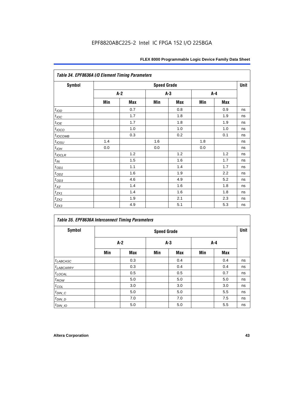| <b>Symbol</b>      |     |     | <b>Speed Grade</b> |       |     |       | Unit |
|--------------------|-----|-----|--------------------|-------|-----|-------|------|
|                    | A-2 |     |                    | $A-3$ |     | A-4   |      |
|                    | Min | Max | Min                | Max   | Min | Max   |      |
| t <sub>IOD</sub>   |     | 0.7 |                    | 0.8   |     | 0.9   | ns   |
| $t_{\mathit{IOC}}$ |     | 1.7 |                    | 1.8   |     | 1.9   | ns   |
| $t_{IOE}$          |     | 1.7 |                    | 1.8   |     | 1.9   | ns   |
| $t_{IOCO}$         |     | 1.0 |                    | 1.0   |     | 1.0   | ns   |
| $t_{IOCOMB}$       |     | 0.3 |                    | 0.2   |     | 0.1   | ns   |
| t <sub>lOSU</sub>  | 1.4 |     | 1.6                |       | 1.8 |       | ns   |
| $t_{IOH}$          | 0.0 |     | 0.0                |       | 0.0 |       | ns   |
| $t_{IOCLR}$        |     | 1.2 |                    | 1.2   |     | $1.2$ | ns   |
| $t_{I\!N}$         |     | 1.5 |                    | 1.6   |     | 1.7   | ns   |
| $t_{OD1}$          |     | 1.1 |                    | 1.4   |     | 1.7   | ns   |
| $t_{OD2}$          |     | 1.6 |                    | 1.9   |     | 2.2   | ns   |
| $t_{OD3}$          |     | 4.6 |                    | 4.9   |     | 5.2   | ns   |
| $t_{XZ}$           |     | 1.4 |                    | 1.6   |     | 1.8   | ns   |
| $t_{ZX1}$          |     | 1.4 |                    | 1.6   |     | 1.8   | ns   |
| $t_{ZX2}$          |     | 1.9 |                    | 2.1   |     | 2.3   | ns   |
| $t_{ZX3}$          |     | 4.9 |                    | 5.1   |     | 5.3   | ns   |

| <b>Table 35. EPF8636A Interconnect Timing Parameters</b> |     |                    |       |            |     |            |    |  |  |
|----------------------------------------------------------|-----|--------------------|-------|------------|-----|------------|----|--|--|
| <b>Symbol</b>                                            |     | <b>Speed Grade</b> |       |            |     |            |    |  |  |
|                                                          | A-2 |                    | $A-3$ |            | A-4 |            |    |  |  |
|                                                          | Min | <b>Max</b>         | Min   | <b>Max</b> | Min | <b>Max</b> |    |  |  |
| $t_{LABCASC}$                                            |     | 0.3                |       | 0.4        |     | 0.4        | ns |  |  |
| <sup>t</sup> LABCARRY                                    |     | 0.3                |       | 0.4        |     | 0.4        | ns |  |  |
| $t_{\text{LOCAL}}$                                       |     | 0.5                |       | 0.5        |     | 0.7        | ns |  |  |
| $t_{ROW}$                                                |     | 5.0                |       | 5.0        |     | 5.0        | ns |  |  |
| $t_{COL}$                                                |     | 3.0                |       | 3.0        |     | 3.0        | ns |  |  |
| $t_{DIN}$ $C$                                            |     | 5.0                |       | 5.0        |     | 5.5        | ns |  |  |
| $t$ <sub>DIN_D</sub>                                     |     | 7.0                |       | 7.0        |     | 7.5        | ns |  |  |
| $t_{DIN\_IO}$                                            |     | 5.0                |       | 5.0        |     | 5.5        | ns |  |  |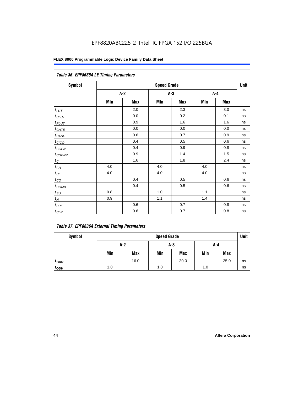| Table 36. EPF8636A LE Timing Parameters |       |     |                    |     |         |     |      |  |  |
|-----------------------------------------|-------|-----|--------------------|-----|---------|-----|------|--|--|
| Symbol                                  |       |     | <b>Speed Grade</b> |     |         |     | Unit |  |  |
|                                         | $A-2$ |     | $A-3$              |     | $A - 4$ |     |      |  |  |
|                                         | Min   | Max | Min                | Max | Min     | Max |      |  |  |
| $t_{LUT}$                               |       | 2.0 |                    | 2.3 |         | 3.0 | ns   |  |  |
| $t_{CLUT}$                              |       | 0.0 |                    | 0.2 |         | 0.1 | ns   |  |  |
| $t_{RLUT}$                              |       | 0.9 |                    | 1.6 |         | 1.6 | ns   |  |  |
| $t_{GATE}$                              |       | 0.0 |                    | 0.0 |         | 0.0 | ns   |  |  |
| $t_{CASC}$                              |       | 0.6 |                    | 0.7 |         | 0.9 | ns   |  |  |
| $t_{CICO}$                              |       | 0.4 |                    | 0.5 |         | 0.6 | ns   |  |  |
| $t_{GEN}$                               |       | 0.4 |                    | 0.9 |         | 0.8 | ns   |  |  |
| $t_{CGENR}$                             |       | 0.9 |                    | 1.4 |         | 1.5 | ns   |  |  |
| $t_C$                                   |       | 1.6 |                    | 1.8 |         | 2.4 | ns   |  |  |
| $t_{CH}$                                | 4.0   |     | 4.0                |     | 4.0     |     | ns   |  |  |
| $t_{CL}$                                | 4.0   |     | 4.0                |     | 4.0     |     | ns   |  |  |
| $t_{CO}$                                |       | 0.4 |                    | 0.5 |         | 0.6 | ns   |  |  |
| $t_{\text{COMB}}$                       |       | 0.4 |                    | 0.5 |         | 0.6 | ns   |  |  |
| $t_{SU}$                                | 0.8   |     | 1.0                |     | 1.1     |     | ns   |  |  |
| $t_H$                                   | 0.9   |     | $1.1$              |     | 1.4     |     | ns   |  |  |
| $t_{PRE}$                               |       | 0.6 |                    | 0.7 |         | 0.8 | ns   |  |  |
| $t_{CLR}$                               |       | 0.6 |                    | 0.7 |         | 0.8 | ns   |  |  |

#### *Table 37. EPF8636A External Timing Parameters*

| Symbol           |       | <b>Speed Grade</b> |     |            |     |      |    |  |  |
|------------------|-------|--------------------|-----|------------|-----|------|----|--|--|
|                  | $A-2$ |                    |     | A-3        |     | A-4  |    |  |  |
|                  | Min   | <b>Max</b>         | Min | <b>Max</b> | Min | Max  |    |  |  |
| t <sub>DRR</sub> |       | 16.0               |     | 20.0       |     | 25.0 | ns |  |  |
| t <sub>ODH</sub> | 1.0   |                    | 1.0 |            | 1.0 |      | ns |  |  |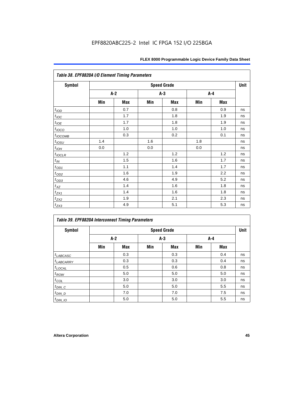| Table 38. EPF8820A I/O Element Timing Parameters |     |     |     |                    |     |            |      |  |  |
|--------------------------------------------------|-----|-----|-----|--------------------|-----|------------|------|--|--|
| <b>Symbol</b>                                    |     |     |     | <b>Speed Grade</b> |     |            | Unit |  |  |
|                                                  |     | A-2 |     | $A-3$              |     | A-4        |      |  |  |
|                                                  | Min | Max | Min | Max                | Min | <b>Max</b> |      |  |  |
| t <sub>IOD</sub>                                 |     | 0.7 |     | 0.8                |     | 0.9        | ns   |  |  |
| $t_{\text{IOC}}$                                 |     | 1.7 |     | 1.8                |     | 1.9        | ns   |  |  |
| $t_{IOE}$                                        |     | 1.7 |     | 1.8                |     | 1.9        | ns   |  |  |
| $t_{IOCO}$                                       |     | 1.0 |     | 1.0                |     | 1.0        | ns   |  |  |
| $t_{IOCOMB}$                                     |     | 0.3 |     | 0.2                |     | 0.1        | ns   |  |  |
| $t_{IOSU}$                                       | 1.4 |     | 1.6 |                    | 1.8 |            | ns   |  |  |
| $t_{IOL}$                                        | 0.0 |     | 0.0 |                    | 0.0 |            | ns   |  |  |
| $t_{IOCLR}$                                      |     | 1.2 |     | 1.2                |     | 1.2        | ns   |  |  |
| $t_{I\!N}$                                       |     | 1.5 |     | 1.6                |     | 1.7        | ns   |  |  |
| $t_{OD1}$                                        |     | 1.1 |     | 1.4                |     | 1.7        | ns   |  |  |
| $t_{OD2}$                                        |     | 1.6 |     | 1.9                |     | 2.2        | ns   |  |  |
| $t_{OD3}$                                        |     | 4.6 |     | 4.9                |     | 5.2        | ns   |  |  |
| $t_{\text{XZ}}$                                  |     | 1.4 |     | 1.6                |     | 1.8        | ns   |  |  |
| $t_{ZX1}$                                        |     | 1.4 |     | 1.6                |     | 1.8        | ns   |  |  |
| $t_{ZX2}$                                        |     | 1.9 |     | 2.1                |     | 2.3        | ns   |  |  |
| $t_{ZX3}$                                        |     | 4.9 |     | 5.1                |     | 5.3        | ns   |  |  |

| <b>Table 39. EPF8820A Interconnect Timing Parameters</b> |     |                    |     |       |     |       |    |  |  |  |
|----------------------------------------------------------|-----|--------------------|-----|-------|-----|-------|----|--|--|--|
| Symbol                                                   |     | <b>Speed Grade</b> |     |       |     |       |    |  |  |  |
|                                                          |     | A-2                |     | $A-3$ |     | $A-4$ |    |  |  |  |
|                                                          | Min | <b>Max</b>         | Min | Max   | Min | Max   |    |  |  |  |
| $t_{LABCASC}$                                            |     | 0.3                |     | 0.3   |     | 0.4   | ns |  |  |  |
| $t_{LABCARY}$                                            |     | 0.3                |     | 0.3   |     | 0.4   | ns |  |  |  |
| $t_{\text{LOCAL}}$                                       |     | 0.5                |     | 0.6   |     | 0.8   | ns |  |  |  |
| $t_{ROW}$                                                |     | 5.0                |     | 5.0   |     | 5.0   | ns |  |  |  |
| $t_{COL}$                                                |     | 3.0                |     | 3.0   |     | 3.0   | ns |  |  |  |
| $t_{DIN\_C}$                                             |     | 5.0                |     | 5.0   |     | 5.5   | ns |  |  |  |
| $t$ <sub>DIN_D</sub>                                     |     | 7.0                |     | 7.0   |     | 7.5   | ns |  |  |  |
| $t_{DIN\_IO}$                                            |     | 5.0                |     | 5.0   |     | 5.5   | ns |  |  |  |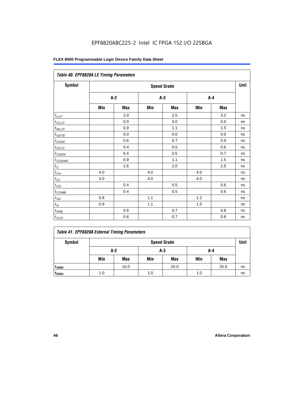| Table 40. EPF8820A LE Timing Parameters |       |     |     |                    |     |            |      |  |  |
|-----------------------------------------|-------|-----|-----|--------------------|-----|------------|------|--|--|
| Symbol                                  |       |     |     | <b>Speed Grade</b> |     |            | Unit |  |  |
|                                         | $A-2$ |     |     | $A-3$              |     | $A - 4$    |      |  |  |
|                                         | Min   | Max | Min | Max                | Min | <b>Max</b> |      |  |  |
| $t_{LUT}$                               |       | 2.0 |     | 2.5                |     | 3.2        | ns   |  |  |
| $t$ <sub>CLUT</sub>                     |       | 0.0 |     | 0.0                |     | 0.0        | ns   |  |  |
| $t_{RLUT}$                              |       | 0.9 |     | 1.1                |     | 1.5        | ns   |  |  |
| $t_{GATE}$                              |       | 0.0 |     | 0.0                |     | 0.0        | ns   |  |  |
| $t_{CASC}$                              |       | 0.6 |     | 0.7                |     | 0.9        | ns   |  |  |
| $t_{CICO}$                              |       | 0.4 |     | 0.5                |     | 0.6        | ns   |  |  |
| $t_{CGEN}$                              |       | 0.4 |     | 0.5                |     | 0.7        | ns   |  |  |
| $t_{\text{CGENR}}$                      |       | 0.9 |     | 1.1                |     | 1.5        | ns   |  |  |
| $t_{\rm C}$                             |       | 1.6 |     | 2.0                |     | 2.5        | ns   |  |  |
| $t_{CH}$                                | 4.0   |     | 4.0 |                    | 4.0 |            | ns   |  |  |
| $t_{CL}$                                | 4.0   |     | 4.0 |                    | 4.0 |            | ns   |  |  |
| $t_{CO}$                                |       | 0.4 |     | 0.5                |     | 0.6        | ns   |  |  |
| $t$ <sub>COMB</sub>                     |       | 0.4 |     | 0.5                |     | 0.6        | ns   |  |  |
| $t_{\rm SU}$                            | 0.8   |     | 1.1 |                    | 1.2 |            | ns   |  |  |
| $t_H\,$                                 | 0.9   |     | 1.1 |                    | 1.5 |            | ns   |  |  |
| $t_{PRE}$                               |       | 0.6 |     | 0.7                |     | 0.8        | ns   |  |  |
| $t_{CLR}$                               |       | 0.6 |     | 0.7                |     | 0.8        | ns   |  |  |

| Table 41. EPF8820A External Timing Parameters |
|-----------------------------------------------|
|                                               |

| Symbol           | <b>Speed Grade</b> |      |     |            |     |            | Unit |
|------------------|--------------------|------|-----|------------|-----|------------|------|
|                  |                    | A-2  |     | A-3        |     | A-4        |      |
|                  | Min                | Max  | Min | <b>Max</b> | Min | <b>Max</b> |      |
| t <sub>DRR</sub> |                    | 16.0 |     | 20.0       |     | 25.0       | ns   |
| t <sub>ODH</sub> | 1.0                |      | 1.0 |            | 1.0 |            | ns   |

r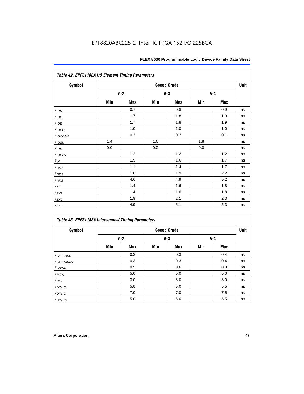| Table 42. EPF81188A I/O Element Timing Parameters |     |     |     |                    |     |            |      |  |  |
|---------------------------------------------------|-----|-----|-----|--------------------|-----|------------|------|--|--|
| <b>Symbol</b>                                     |     |     |     | <b>Speed Grade</b> |     |            | Unit |  |  |
|                                                   | A-2 |     |     | $A-3$              |     | A-4        |      |  |  |
|                                                   | Min | Max | Min | <b>Max</b>         | Min | <b>Max</b> |      |  |  |
| t <sub>IOD</sub>                                  |     | 0.7 |     | 0.8                |     | 0.9        | ns   |  |  |
| $t_{\text{loc}}$                                  |     | 1.7 |     | 1.8                |     | 1.9        | ns   |  |  |
| $t_{IOE}$                                         |     | 1.7 |     | 1.8                |     | 1.9        | ns   |  |  |
| $t_{IOCO}$                                        |     | 1.0 |     | 1.0                |     | 1.0        | ns   |  |  |
| $t_{IOCOMB}$                                      |     | 0.3 |     | 0.2                |     | 0.1        | ns   |  |  |
| $t_{IOSU}$                                        | 1.4 |     | 1.6 |                    | 1.8 |            | ns   |  |  |
| $t_{IOM}$                                         | 0.0 |     | 0.0 |                    | 0.0 |            | ns   |  |  |
| $t_{IOCLR}$                                       |     | 1.2 |     | 1.2                |     | 1.2        | ns   |  |  |
| $t_{I\!N}$                                        |     | 1.5 |     | 1.6                |     | 1.7        | ns   |  |  |
| $t_{OD1}$                                         |     | 1.1 |     | 1.4                |     | 1.7        | ns   |  |  |
| $t_{OD2}$                                         |     | 1.6 |     | 1.9                |     | 2.2        | ns   |  |  |
| $t_{OD3}$                                         |     | 4.6 |     | 4.9                |     | 5.2        | ns   |  |  |
| $t_{XZ}$                                          |     | 1.4 |     | 1.6                |     | 1.8        | ns   |  |  |
| $t_{ZX1}$                                         |     | 1.4 |     | 1.6                |     | 1.8        | ns   |  |  |
| $t_{ZX2}$                                         |     | 1.9 |     | 2.1                |     | 2.3        | ns   |  |  |
| $t_{ZX3}$                                         |     | 4.9 |     | 5.1                |     | 5.3        | ns   |  |  |

| <b>Table 43. EPF81188A Interconnect Timing Parameters</b> |                    |     |     |            |     |            |    |  |  |
|-----------------------------------------------------------|--------------------|-----|-----|------------|-----|------------|----|--|--|
| Symbol                                                    | <b>Speed Grade</b> |     |     |            |     |            |    |  |  |
|                                                           | $A-2$              |     |     | $A-3$      |     | A-4        |    |  |  |
|                                                           | Min                | Max | Min | <b>Max</b> | Min | <b>Max</b> |    |  |  |
| $t_{LABCASC}$                                             |                    | 0.3 |     | 0.3        |     | 0.4        | ns |  |  |
| $t_{LABCARY}$                                             |                    | 0.3 |     | 0.3        |     | 0.4        | ns |  |  |
| $t_{\text{LOCAL}}$                                        |                    | 0.5 |     | 0.6        |     | 0.8        | ns |  |  |
| $t_{ROW}$                                                 |                    | 5.0 |     | 5.0        |     | 5.0        | ns |  |  |
| $t_{COL}$                                                 |                    | 3.0 |     | 3.0        |     | 3.0        | ns |  |  |
| $t_{DIN\_C}$                                              |                    | 5.0 |     | 5.0        |     | 5.5        | ns |  |  |
| $t_{DIN\_D}$                                              |                    | 7.0 |     | 7.0        |     | 7.5        | ns |  |  |
| $t_{DIN}$ 10                                              |                    | 5.0 |     | 5.0        |     | 5.5        | ns |  |  |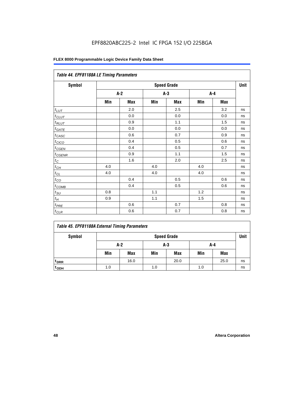| Table 44. EPF81188A LE Timing Parameters |       |     |     |                    |     |     |      |  |
|------------------------------------------|-------|-----|-----|--------------------|-----|-----|------|--|
| Symbol                                   |       |     |     | <b>Speed Grade</b> |     |     | Unit |  |
|                                          | $A-2$ |     |     | $A-3$              |     | A-4 |      |  |
|                                          | Min   | Max | Min | Max                | Min | Max |      |  |
| $t_{LUT}$                                |       | 2.0 |     | 2.5                |     | 3.2 | ns   |  |
| $t_{CLUT}$                               |       | 0.0 |     | 0.0                |     | 0.0 | ns   |  |
| $t_{RLUT}$                               |       | 0.9 |     | 1.1                |     | 1.5 | ns   |  |
| $t_{GATE}$                               |       | 0.0 |     | 0.0                |     | 0.0 | ns   |  |
| $t_{CASC}$                               |       | 0.6 |     | 0.7                |     | 0.9 | ns   |  |
| $t_{CICO}$                               |       | 0.4 |     | 0.5                |     | 0.6 | ns   |  |
| $t_{GEN}$                                |       | 0.4 |     | 0.5                |     | 0.7 | ns   |  |
| $t_{CGENR}$                              |       | 0.9 |     | 1.1                |     | 1.5 | ns   |  |
| $t_C$                                    |       | 1.6 |     | 2.0                |     | 2.5 | ns   |  |
| $t_{\mathit{CH}}$                        | 4.0   |     | 4.0 |                    | 4.0 |     | ns   |  |
| $t_{CL}$                                 | 4.0   |     | 4.0 |                    | 4.0 |     | ns   |  |
| $t_{CO}$                                 |       | 0.4 |     | 0.5                |     | 0.6 | ns   |  |
| $t_{\text{COMB}}$                        |       | 0.4 |     | 0.5                |     | 0.6 | ns   |  |
| $t_{SU}$                                 | 0.8   |     | 1.1 |                    | 1.2 |     | ns   |  |
| $t_H$                                    | 0.9   |     | 1.1 |                    | 1.5 |     | ns   |  |
| $t_{PRE}$                                |       | 0.6 |     | 0.7                |     | 0.8 | ns   |  |
| $t_{CLR}$                                |       | 0.6 |     | 0.7                |     | 0.8 | ns   |  |

|  |  |  |  | Table 45. EPF81188A External Timing Parameters |
|--|--|--|--|------------------------------------------------|
|--|--|--|--|------------------------------------------------|

| Symbol           | <b>Speed Grade</b> |            |     |            |     |            |    |
|------------------|--------------------|------------|-----|------------|-----|------------|----|
|                  | $A-2$<br>A-3       |            |     |            | A-4 |            |    |
|                  | Min                | <b>Max</b> | Min | <b>Max</b> | Min | <b>Max</b> |    |
| t <sub>DRR</sub> |                    | 16.0       |     | 20.0       |     | 25.0       | ns |
| t <sub>ODH</sub> | 1.0                |            | 1.0 |            | 1.0 |            | ns |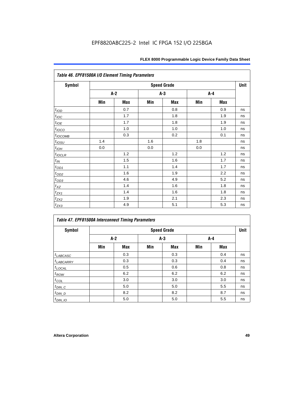|                      | Table 46. EPF81500A I/O Element Timing Parameters<br><b>Speed Grade</b> |       |       |     |     |     |      |
|----------------------|-------------------------------------------------------------------------|-------|-------|-----|-----|-----|------|
| Symbol               |                                                                         |       |       |     |     |     | Unit |
|                      |                                                                         | $A-2$ | $A-3$ |     | A-4 |     |      |
|                      | Min                                                                     | Max   | Min   | Max | Min | Max |      |
| t <sub>IOD</sub>     |                                                                         | 0.7   |       | 0.8 |     | 0.9 | ns   |
| $t_{\text{IOC}}$     |                                                                         | 1.7   |       | 1.8 |     | 1.9 | ns   |
| $t_{IOE}$            |                                                                         | 1.7   |       | 1.8 |     | 1.9 | ns   |
| $t_{IOCO}$           |                                                                         | 1.0   |       | 1.0 |     | 1.0 | ns   |
| $t_{IOCOMB}$         |                                                                         | 0.3   |       | 0.2 |     | 0.1 | ns   |
| $t_{IOSU}$           | 1.4                                                                     |       | 1.6   |     | 1.8 |     | ns   |
| $t_{IOH}$            | 0.0                                                                     |       | 0.0   |     | 0.0 |     | ns   |
| $t_{IOCLR}$          |                                                                         | 1.2   |       | 1.2 |     | 1.2 | ns   |
| $t_{I\!N}$           |                                                                         | 1.5   |       | 1.6 |     | 1.7 | ns   |
| $t_{OD1}$            |                                                                         | 1.1   |       | 1.4 |     | 1.7 | ns   |
| $t_{OD2}$            |                                                                         | 1.6   |       | 1.9 |     | 2.2 | ns   |
| $t_{OD3}$            |                                                                         | 4.6   |       | 4.9 |     | 5.2 | ns   |
| $t_{\underline{XZ}}$ |                                                                         | 1.4   |       | 1.6 |     | 1.8 | ns   |
| $t_{ZX1}$            |                                                                         | 1.4   |       | 1.6 |     | 1.8 | ns   |
| $t_{ZX2}$            |                                                                         | 1.9   |       | 2.1 |     | 2.3 | ns   |
| $t_{ZX3}$            |                                                                         | 4.9   |       | 5.1 |     | 5.3 | ns   |

| <b>Table 47. EPF81500A Interconnect Timing Parameters</b> |       |     |       |                    |     |     |      |  |
|-----------------------------------------------------------|-------|-----|-------|--------------------|-----|-----|------|--|
| Symbol                                                    |       |     |       | <b>Speed Grade</b> |     |     | Unit |  |
|                                                           | $A-2$ |     | $A-3$ |                    | A-4 |     |      |  |
|                                                           | Min   | Max | Min   | Max                | Min | Max |      |  |
| $t_{LABCASC}$                                             |       | 0.3 |       | 0.3                |     | 0.4 | ns   |  |
| $t_{LABCARY}$                                             |       | 0.3 |       | 0.3                |     | 0.4 | ns   |  |
| $t_{\text{LOCAL}}$                                        |       | 0.5 |       | 0.6                |     | 0.8 | ns   |  |
| $t_{ROW}$                                                 |       | 6.2 |       | 6.2                |     | 6.2 | ns   |  |
| $t_{COL}$                                                 |       | 3.0 |       | 3.0                |     | 3.0 | ns   |  |
| $t_{DIN\_C}$                                              |       | 5.0 |       | 5.0                |     | 5.5 | ns   |  |
| $t$ <sub>DIN_D</sub>                                      |       | 8.2 |       | 8.2                |     | 8.7 | ns   |  |
| $t_{DIN\_IO}$                                             |       | 5.0 |       | 5.0                |     | 5.5 | ns   |  |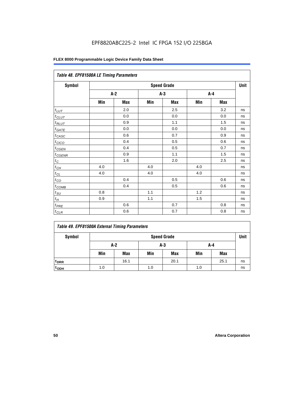| Table 48. EPF81500A LE Timing Parameters |                    |       |     |       |     |     |    |  |
|------------------------------------------|--------------------|-------|-----|-------|-----|-----|----|--|
| <b>Symbol</b>                            | <b>Speed Grade</b> |       |     |       |     |     |    |  |
|                                          |                    | $A-2$ |     | $A-3$ |     | A-4 |    |  |
|                                          | Min                | Max   | Min | Max   | Min | Max |    |  |
| $t_{LUT}$                                |                    | 2.0   |     | 2.5   |     | 3.2 | ns |  |
| $t$ CLUT                                 |                    | 0.0   |     | 0.0   |     | 0.0 | ns |  |
| $t_{RLUT}$                               |                    | 0.9   |     | 1.1   |     | 1.5 | ns |  |
| $t_{\underline{GATE}}$                   |                    | 0.0   |     | 0.0   |     | 0.0 | ns |  |
| $t_{CASC}$                               |                    | 0.6   |     | 0.7   |     | 0.9 | ns |  |
| $t_{CICO}$                               |                    | 0.4   |     | 0.5   |     | 0.6 | ns |  |
| $t_{CGEN}$                               |                    | 0.4   |     | 0.5   |     | 0.7 | ns |  |
| $t_{CGENR}$                              |                    | 0.9   |     | 1.1   |     | 1.5 | ns |  |
| $t_C$                                    |                    | 1.6   |     | 2.0   |     | 2.5 | ns |  |
| $t_{\mathit{CH}}$                        | 4.0                |       | 4.0 |       | 4.0 |     | ns |  |
| $t_{CL}$                                 | 4.0                |       | 4.0 |       | 4.0 |     | ns |  |
| $t_{\rm CO}$                             |                    | 0.4   |     | 0.5   |     | 0.6 | ns |  |
| $t_{\text{COMB}}$                        |                    | 0.4   |     | 0.5   |     | 0.6 | ns |  |
| $t_{\text{SU}}$                          | 0.8                |       | 1.1 |       | 1.2 |     | ns |  |
| $t_H$                                    | 0.9                |       | 1.1 |       | 1.5 |     | ns |  |
| $t_{PRE}$                                |                    | 0.6   |     | 0.7   |     | 0.8 | ns |  |
| $t_{CLR}$                                |                    | 0.6   |     | 0.7   |     | 0.8 | ns |  |

|  |  |  |  | <b>Table 49. EPF81500A External Timing Parameters</b> |
|--|--|--|--|-------------------------------------------------------|
|--|--|--|--|-------------------------------------------------------|

| Symbol             | <b>Speed Grade</b> |            |     |            |     |            |    |
|--------------------|--------------------|------------|-----|------------|-----|------------|----|
|                    | A-2<br>A-3<br>A-4  |            |     |            |     |            |    |
|                    | Min                | <b>Max</b> | Min | <b>Max</b> | Min | <b>Max</b> |    |
| t <sub>DRR</sub>   |                    | 16.1       |     | 20.1       |     | 25.1       | ns |
| $t$ <sub>ODH</sub> | 1.0                |            | 1.0 |            | 1.0 |            | ns |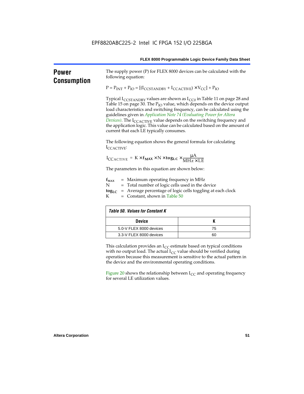| <b>Power</b><br><b>Consumption</b> | The supply power (P) for FLEX 8000 devices can be calculated with the<br>following equation:                                                                                                                                                                                                                                                                                                                                                                                                                                                            |    |  |  |  |  |  |
|------------------------------------|---------------------------------------------------------------------------------------------------------------------------------------------------------------------------------------------------------------------------------------------------------------------------------------------------------------------------------------------------------------------------------------------------------------------------------------------------------------------------------------------------------------------------------------------------------|----|--|--|--|--|--|
|                                    | $P = P_{INT} + P_{IO} = [(I_{CCSTANDBY} + I_{CCACTIVE}) \times V_{CC}] + P_{IO}$                                                                                                                                                                                                                                                                                                                                                                                                                                                                        |    |  |  |  |  |  |
|                                    | Typical $I_{\text{CCSTANDBY}}$ values are shown as $I_{\text{CC0}}$ in Table 11 on page 28 and<br>Table 15 on page 30. The P <sub>IO</sub> value, which depends on the device output<br>load characteristics and switching frequency, can be calculated using the<br>guidelines given in Application Note 74 (Evaluating Power for Altera<br>Devices). The I <sub>CCACTIVE</sub> value depends on the switching frequency and<br>the application logic. This value can be calculated based on the amount of<br>current that each LE typically consumes. |    |  |  |  |  |  |
|                                    | The following equation shows the general formula for calculating<br>ICCACTIVE:                                                                                                                                                                                                                                                                                                                                                                                                                                                                          |    |  |  |  |  |  |
|                                    | $I_{\text{CCACTIVE}} = K \times f_{\text{MAX}} \times N \times \text{tog}_{\text{LC}} \times \frac{\mu A}{\text{MHz} \times \text{LE}}$                                                                                                                                                                                                                                                                                                                                                                                                                 |    |  |  |  |  |  |
|                                    | The parameters in this equation are shown below:                                                                                                                                                                                                                                                                                                                                                                                                                                                                                                        |    |  |  |  |  |  |
|                                    | $=$ Maximum operating frequency in MHz<br>$f_{MAX}$<br>= Total number of logic cells used in the device<br>N<br>= Average percentage of logic cells toggling at each clock<br>$\log_{LC}$<br>K<br>$=$ Constant, shown in Table 50                                                                                                                                                                                                                                                                                                                       |    |  |  |  |  |  |
|                                    | <b>Table 50. Values for Constant K</b>                                                                                                                                                                                                                                                                                                                                                                                                                                                                                                                  |    |  |  |  |  |  |
|                                    | <b>Device</b>                                                                                                                                                                                                                                                                                                                                                                                                                                                                                                                                           | K  |  |  |  |  |  |
|                                    | 5.0-V FLEX 8000 devices                                                                                                                                                                                                                                                                                                                                                                                                                                                                                                                                 | 75 |  |  |  |  |  |
|                                    | 3.3-V FLEX 8000 devices                                                                                                                                                                                                                                                                                                                                                                                                                                                                                                                                 | 60 |  |  |  |  |  |
|                                    | This calculation provides an $I_{CC}$ estimate based on typical conditions<br>with no output load. The actual $I_{CC}$ value should be verified during<br>operation because this measurement is sensitive to the actual pattern in<br>the device and the environmental operating conditions.                                                                                                                                                                                                                                                            |    |  |  |  |  |  |
|                                    | Figure 20 shows the relationship between $I_{CC}$ and operating frequency<br>for several LE utilization values.                                                                                                                                                                                                                                                                                                                                                                                                                                         |    |  |  |  |  |  |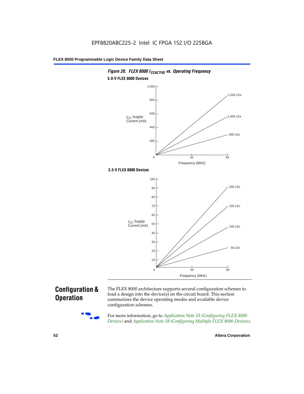

## **Configuration & Operation**

The FLEX 8000 architecture supports several configuration schemes to load a design into the device(s) on the circuit board. This section summarizes the device operating modes and available device configuration schemes.

For more information, go to *Application Note 33 (Configuring FLEX 8000 Devices)* and *Application Note 38 (Configuring Multiple FLEX 8000 Devices)*.

**52 Altera Corporation**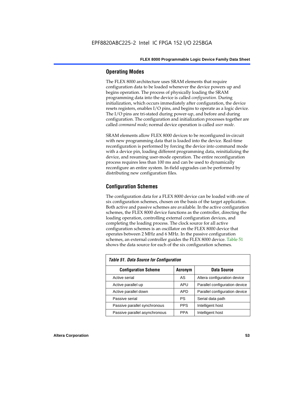#### **Operating Modes**

The FLEX 8000 architecture uses SRAM elements that require configuration data to be loaded whenever the device powers up and begins operation. The process of physically loading the SRAM programming data into the device is called *configuration*. During initialization, which occurs immediately after configuration, the device resets registers, enables I/O pins, and begins to operate as a logic device. The I/O pins are tri-stated during power-up, and before and during configuration. The configuration and initialization processes together are called *command mode*; normal device operation is called *user mode*.

SRAM elements allow FLEX 8000 devices to be reconfigured in-circuit with new programming data that is loaded into the device. Real-time reconfiguration is performed by forcing the device into command mode with a device pin, loading different programming data, reinitializing the device, and resuming user-mode operation. The entire reconfiguration process requires less than 100 ms and can be used to dynamically reconfigure an entire system. In-field upgrades can be performed by distributing new configuration files.

#### **Configuration Schemes**

The configuration data for a FLEX 8000 device can be loaded with one of six configuration schemes, chosen on the basis of the target application. Both active and passive schemes are available. In the active configuration schemes, the FLEX 8000 device functions as the controller, directing the loading operation, controlling external configuration devices, and completing the loading process. The clock source for all active configuration schemes is an oscillator on the FLEX 8000 device that operates between 2 MHz and 6 MHz. In the passive configuration schemes, an external controller guides the FLEX 8000 device. Table 51 shows the data source for each of the six configuration schemes.

| <b>Table 51. Data Source for Configuration</b> |             |                               |  |  |  |  |  |
|------------------------------------------------|-------------|-------------------------------|--|--|--|--|--|
| <b>Configuration Scheme</b>                    | Data Source |                               |  |  |  |  |  |
| Active serial                                  | AS          | Altera configuration device   |  |  |  |  |  |
| Active parallel up                             | APU         | Parallel configuration device |  |  |  |  |  |
| Active parallel down                           | <b>APD</b>  | Parallel configuration device |  |  |  |  |  |
| Passive serial                                 | PS          | Serial data path              |  |  |  |  |  |
| Passive parallel synchronous                   | <b>PPS</b>  | Intelligent host              |  |  |  |  |  |
| Passive parallel asynchronous                  | <b>PPA</b>  | Intelligent host              |  |  |  |  |  |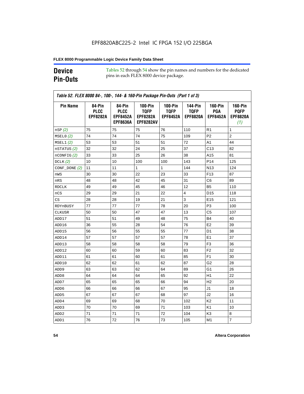# **Device Pin-Outs**

Tables 52 through 54 show the pin names and numbers for the dedicated pins in each FLEX 8000 device package.

| <b>Pin Name</b>  | 84-Pin<br><b>PLCC</b><br><b>EPF8282A</b> | 84-Pin<br><b>PLCC</b><br><b>EPF8452A</b><br><b>EPF8636A</b> | <b>100-Pin</b><br><b>TQFP</b><br><b>EPF8282A</b><br><b>EPF8282AV</b> | <b>100-Pin</b><br><b>TQFP</b><br><b>EPF8452A</b> | 144-Pin<br><b>TQFP</b><br><b>EPF8820A</b> | <b>160-Pin</b><br>PGA<br><b>EPF8452A</b> | <b>160-Pin</b><br><b>PQFP</b><br><b>EPF8820A</b><br>(1) |
|------------------|------------------------------------------|-------------------------------------------------------------|----------------------------------------------------------------------|--------------------------------------------------|-------------------------------------------|------------------------------------------|---------------------------------------------------------|
| nSP(2)           | 75                                       | 75                                                          | 75                                                                   | 76                                               | 110                                       | R1                                       | 1                                                       |
| MSELO(2)         | 74                                       | 74                                                          | 74                                                                   | 75                                               | 109                                       | P <sub>2</sub>                           | $\overline{2}$                                          |
| MSEL1(2)         | 53                                       | 53                                                          | 51                                                                   | 51                                               | 72                                        | A1                                       | 44                                                      |
| nSTATUS (2)      | 32                                       | 32                                                          | 24                                                                   | 25                                               | 37                                        | C <sub>13</sub>                          | 82                                                      |
| $n$ CONFIG $(2)$ | 33                                       | 33                                                          | 25                                                                   | 26                                               | 38                                        | A15                                      | 81                                                      |
| DCLK $(2)$       | 10                                       | 10                                                          | 100                                                                  | 100                                              | 143                                       | P <sub>14</sub>                          | 125                                                     |
| $CONF\_DONE(2)$  | 11                                       | 11                                                          | $\mathbf{1}$                                                         | $\mathbf{1}$                                     | 144                                       | N <sub>13</sub>                          | 124                                                     |
| nWS              | 30                                       | 30                                                          | 22                                                                   | 23                                               | 33                                        | F <sub>13</sub>                          | 87                                                      |
| nRS              | 48                                       | 48                                                          | 42                                                                   | 45                                               | 31                                        | C6                                       | 89                                                      |
| <b>RDCLK</b>     | 49                                       | 49                                                          | 45                                                                   | 46                                               | 12                                        | B <sub>5</sub>                           | 110                                                     |
| nCS              | 29                                       | 29                                                          | 21                                                                   | 22                                               | 4                                         | D <sub>15</sub>                          | 118                                                     |
| CS               | 28                                       | 28                                                          | 19                                                                   | 21                                               | 3                                         | E <sub>15</sub>                          | 121                                                     |
| RDYnBUSY         | 77                                       | 77                                                          | 77                                                                   | 78                                               | 20                                        | P3                                       | 100                                                     |
| CLKUSR           | 50                                       | 50                                                          | 47                                                                   | 47                                               | 13                                        | C <sub>5</sub>                           | 107                                                     |
| ADD17            | 51                                       | 51                                                          | 49                                                                   | 48                                               | 75                                        | <b>B4</b>                                | 40                                                      |
| ADD16            | 36                                       | 55                                                          | 28                                                                   | 54                                               | 76                                        | E <sub>2</sub>                           | 39                                                      |
| ADD15            | 56                                       | 56                                                          | 55                                                                   | 55                                               | 77                                        | D <sub>1</sub>                           | 38                                                      |
| ADD14            | 57                                       | 57                                                          | 57                                                                   | 57                                               | 78                                        | E <sub>1</sub>                           | 37                                                      |
| ADD13            | 58                                       | 58                                                          | 58                                                                   | 58                                               | 79                                        | F <sub>3</sub>                           | 36                                                      |
| ADD12            | 60                                       | 60                                                          | 59                                                                   | 60                                               | 83                                        | F <sub>2</sub>                           | 32                                                      |
| ADD11            | 61                                       | 61                                                          | 60                                                                   | 61                                               | 85                                        | F <sub>1</sub>                           | 30                                                      |
| ADD10            | 62                                       | 62                                                          | 61                                                                   | 62                                               | 87                                        | G2                                       | 28                                                      |
| ADD <sub>9</sub> | 63                                       | 63                                                          | 62                                                                   | 64                                               | 89                                        | G1                                       | 26                                                      |
| ADD <sub>8</sub> | 64                                       | 64                                                          | 64                                                                   | 65                                               | 92                                        | H1                                       | 22                                                      |
| ADD7             | 65                                       | 65                                                          | 65                                                                   | 66                                               | 94                                        | H <sub>2</sub>                           | 20                                                      |
| ADD6             | 66                                       | 66                                                          | 66                                                                   | 67                                               | 95                                        | J1                                       | 18                                                      |
| ADD <sub>5</sub> | 67                                       | 67                                                          | 67                                                                   | 68                                               | 97                                        | J2                                       | 16                                                      |
| ADD4             | 69                                       | 69                                                          | 68                                                                   | 70                                               | 102                                       | K <sub>2</sub>                           | 11                                                      |
| ADD3             | 70                                       | 70                                                          | 69                                                                   | 71                                               | 103                                       | K <sub>1</sub>                           | 10                                                      |
| ADD <sub>2</sub> | 71                                       | 71                                                          | 71                                                                   | 72                                               | 104                                       | K3                                       | 8                                                       |
| ADD1             | 76                                       | 72                                                          | 76                                                                   | 73                                               | 105                                       | M1                                       | $\overline{7}$                                          |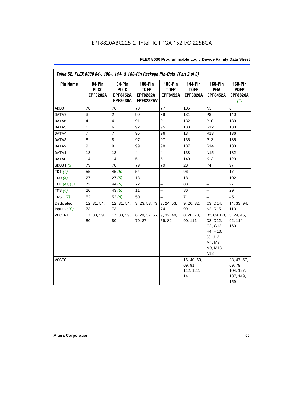| Table 52. FLEX 8000 84-, 100-, 144- & 160-Pin Package Pin-Outs (Part 2 of 3) |                                          |                                                             |                                                                      |                                                  |                                                  |                                                                                                       |                                                         |  |
|------------------------------------------------------------------------------|------------------------------------------|-------------------------------------------------------------|----------------------------------------------------------------------|--------------------------------------------------|--------------------------------------------------|-------------------------------------------------------------------------------------------------------|---------------------------------------------------------|--|
| <b>Pin Name</b>                                                              | 84-Pin<br><b>PLCC</b><br><b>EPF8282A</b> | 84-Pin<br><b>PLCC</b><br><b>EPF8452A</b><br><b>EPF8636A</b> | <b>100-Pin</b><br><b>TQFP</b><br><b>EPF8282A</b><br><b>EPF8282AV</b> | <b>100-Pin</b><br><b>TQFP</b><br><b>EPF8452A</b> | <b>144-Pin</b><br><b>TQFP</b><br><b>EPF8820A</b> | <b>160-Pin</b><br>PGA<br><b>EPF8452A</b>                                                              | <b>160-Pin</b><br><b>PQFP</b><br><b>EPF8820A</b><br>(1) |  |
| ADD <sub>0</sub>                                                             | 78                                       | 76                                                          | 78                                                                   | 77                                               | 106                                              | N <sub>3</sub>                                                                                        | 6                                                       |  |
| DATA7                                                                        | 3                                        | 2                                                           | 90                                                                   | 89                                               | 131                                              | P <sub>8</sub>                                                                                        | 140                                                     |  |
| DATA6                                                                        | $\overline{4}$                           | $\overline{4}$                                              | 91                                                                   | 91                                               | 132                                              | P <sub>10</sub>                                                                                       | 139                                                     |  |
| DATA5                                                                        | 6                                        | $\,6$                                                       | 92                                                                   | 95                                               | 133                                              | R <sub>12</sub>                                                                                       | 138                                                     |  |
| DATA4                                                                        | $\overline{7}$                           | $\overline{7}$                                              | 95                                                                   | 96                                               | 134                                              | R <sub>13</sub>                                                                                       | 136                                                     |  |
| DATA3                                                                        | 8                                        | 8                                                           | 97                                                                   | 97                                               | 135                                              | P <sub>13</sub>                                                                                       | 135                                                     |  |
| DATA2                                                                        | 9                                        | 9                                                           | 99                                                                   | 98                                               | 137                                              | R <sub>14</sub>                                                                                       | 133                                                     |  |
| DATA1                                                                        | 13                                       | 13                                                          | $\overline{4}$                                                       | $\overline{4}$                                   | 138                                              | N <sub>15</sub>                                                                                       | 132                                                     |  |
| DATA0                                                                        | 14                                       | 14                                                          | 5                                                                    | 5                                                | 140                                              | K <sub>13</sub>                                                                                       | 129                                                     |  |
| SDOUT(3)                                                                     | 79                                       | 78                                                          | 79                                                                   | 79                                               | 23                                               | P <sub>4</sub>                                                                                        | 97                                                      |  |
| TDI $(4)$                                                                    | 55                                       | 45 $(5)$                                                    | 54                                                                   | $\overline{\phantom{0}}$                         | 96                                               | $\overline{\phantom{0}}$                                                                              | 17                                                      |  |
| TDO(4)                                                                       | 27                                       | 27(5)                                                       | 18                                                                   | $\overline{\phantom{0}}$                         | 18                                               | $-$                                                                                                   | 102                                                     |  |
| TCK $(4)$ , $(6)$                                                            | 72                                       | 44 $(5)$                                                    | 72                                                                   |                                                  | 88                                               | $\overline{a}$                                                                                        | 27                                                      |  |
| TMS $(4)$                                                                    | 20                                       | 43 $(5)$                                                    | 11                                                                   |                                                  | 86                                               | $\overline{\phantom{0}}$                                                                              | 29                                                      |  |
| TRST $(7)$                                                                   | 52                                       | 52(8)                                                       | 50                                                                   |                                                  | 71                                               | $\overline{a}$                                                                                        | 45                                                      |  |
| Dedicated                                                                    | 12, 31, 54,                              | 12, 31, 54,                                                 | 3, 23, 53, 73 3, 24, 53,                                             |                                                  | 9, 26, 82,                                       | C3, D14,                                                                                              | 14, 33, 94,                                             |  |
| Inputs $(10)$                                                                | 73                                       | 73                                                          |                                                                      | 74                                               | 99                                               | N <sub>2</sub> , R <sub>15</sub>                                                                      | 113                                                     |  |
| VCCINT                                                                       | 17, 38, 59,<br>80                        | 17, 38, 59,<br>80                                           | 6, 20, 37, 56, 9, 32, 49,<br>70, 87                                  | 59, 82                                           | 8, 28, 70,<br>90, 111                            | B2, C4, D3,<br>D8, D12,<br>G3, G12,<br>H4, H13,<br>J3, J12,<br>M4, M7,<br>M9, M13,<br>N <sub>12</sub> | 3, 24, 46,<br>92, 114,<br>160                           |  |
| <b>VCCIO</b>                                                                 |                                          |                                                             | $\overline{\phantom{0}}$                                             | $\overline{\phantom{0}}$                         | 16, 40, 60,<br>69, 91,<br>112, 122,<br>141       | -                                                                                                     | 23, 47, 57,<br>69, 79,<br>104, 127,<br>137, 149,<br>159 |  |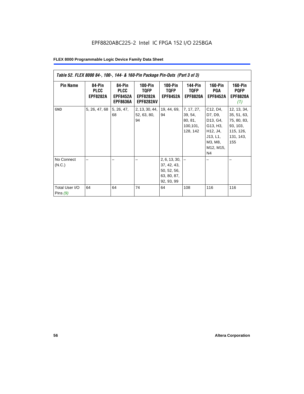| Table 52. FLEX 8000 84-, 100-, 144- & 160-Pin Package Pin-Outs (Part 3 of 3) |                                          |                                                             |                                                          |                                                                                |                                                           |                                                                                                               |                                                                                        |
|------------------------------------------------------------------------------|------------------------------------------|-------------------------------------------------------------|----------------------------------------------------------|--------------------------------------------------------------------------------|-----------------------------------------------------------|---------------------------------------------------------------------------------------------------------------|----------------------------------------------------------------------------------------|
| <b>Pin Name</b>                                                              | 84-Pin<br><b>PLCC</b><br><b>EPF8282A</b> | 84-Pin<br><b>PLCC</b><br><b>EPF8452A</b><br><b>EPF8636A</b> | $100-Pin$<br>TQFP<br><b>EPF8282A</b><br><b>EPF8282AV</b> | $100-Pin$<br><b>TQFP</b><br><b>EPF8452A</b>                                    | <b>144-Pin</b><br><b>TQFP</b><br><b>EPF8820A</b>          | <b>160-Pin</b><br>PGA<br><b>EPF8452A</b>                                                                      | <b>160-Pin</b><br><b>PQFP</b><br><b>EPF8820A</b><br>(1)                                |
| <b>GND</b>                                                                   | 5, 26, 47, 68                            | 5, 26, 47,<br>68                                            | 2, 13, 30, 44,<br>52, 63, 80,<br>94                      | 19, 44, 69,<br>94                                                              | 7, 17, 27,<br>39, 54,<br>80, 81,<br>100, 101,<br>128, 142 | C12, D4,<br>D7, D9,<br>D13, G4,<br>G13, H3,<br>H12, J4,<br>J13, L1,<br>M3, M8,<br>M12, M15,<br>N <sub>4</sub> | 12, 13, 34,<br>35, 51, 63,<br>75, 80, 83,<br>93, 103,<br>115, 126,<br>131, 143,<br>155 |
| No Connect<br>(N.C.)<br>Total User I/O<br>Pins $(9)$                         | 64                                       | 64                                                          | 74                                                       | 2, 6, 13, 30,<br>37, 42, 43,<br>50, 52, 56,<br>63, 80, 87,<br>92, 93, 99<br>64 | 108                                                       | 116                                                                                                           | 116                                                                                    |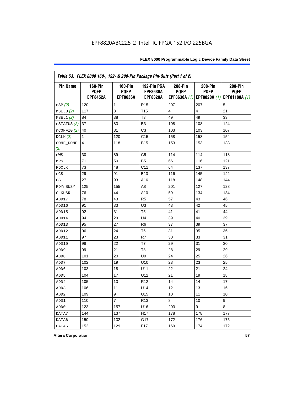| Table 53. FLEX 8000 160-, 192- & 208-Pin Package Pin-Outs (Part 1 of 2) |                                                  |                                                  |                                                   |                        |                        |                                                                   |
|-------------------------------------------------------------------------|--------------------------------------------------|--------------------------------------------------|---------------------------------------------------|------------------------|------------------------|-------------------------------------------------------------------|
| <b>Pin Name</b>                                                         | <b>160-Pin</b><br><b>PQFP</b><br><b>EPF8452A</b> | <b>160-Pin</b><br><b>PQFP</b><br><b>EPF8636A</b> | 192-Pin PGA<br><b>EPF8636A</b><br><b>EPF8820A</b> | 208-Pin<br><b>PQFP</b> | 208-Pin<br><b>PQFP</b> | 208-Pin<br><b>PQFP</b><br>EPF8636A (1) EPF8820A (1) EPF81188A (1) |
| nSP (2)                                                                 | 120                                              | 1                                                | R <sub>15</sub>                                   | 207                    | 207                    | 5                                                                 |
| MSELO(2)                                                                | 117                                              | 3                                                | T <sub>15</sub>                                   | 4                      | 4                      | 21                                                                |
| MSEL1(2)                                                                | 84                                               | 38                                               | T <sub>3</sub>                                    | 49                     | 49                     | 33                                                                |
| nSTATUS (2)                                                             | 37                                               | 83                                               | B <sub>3</sub>                                    | 108                    | 108                    | 124                                                               |
| nCONFIG (2)                                                             | 40                                               | 81                                               | C <sub>3</sub>                                    | 103                    | 103                    | 107                                                               |
| DCLK $(2)$                                                              | 1                                                | 120                                              | C <sub>15</sub>                                   | 158                    | 158                    | 154                                                               |
| CONF_DONE<br>(2)                                                        | 4                                                | 118                                              | <b>B15</b>                                        | 153                    | 153                    | 138                                                               |
| nWS                                                                     | 30                                               | 89                                               | C5                                                | 114                    | 114                    | 118                                                               |
| nRS                                                                     | 71                                               | 50                                               | B <sub>5</sub>                                    | 66                     | 116                    | 121                                                               |
| <b>RDCLK</b>                                                            | 73                                               | 48                                               | C <sub>11</sub>                                   | 64                     | 137                    | 137                                                               |
| nCS                                                                     | 29                                               | 91                                               | <b>B13</b>                                        | 116                    | 145                    | 142                                                               |
| CS                                                                      | 27                                               | 93                                               | A16                                               | 118                    | 148                    | 144                                                               |
| RDYnBUSY                                                                | 125                                              | 155                                              | A <sub>8</sub>                                    | 201                    | 127                    | 128                                                               |
| CLKUSR                                                                  | 76                                               | 44                                               | A10                                               | 59                     | 134                    | 134                                                               |
| ADD17                                                                   | 78                                               | 43                                               | R <sub>5</sub>                                    | 57                     | 43                     | 46                                                                |
| ADD16                                                                   | 91                                               | 33                                               | U <sub>3</sub>                                    | 43                     | 42                     | 45                                                                |
| ADD15                                                                   | 92                                               | 31                                               | T <sub>5</sub>                                    | 41                     | 41                     | 44                                                                |
| ADD14                                                                   | 94                                               | 29                                               | U <sub>4</sub>                                    | 39                     | 40                     | 39                                                                |
| ADD13                                                                   | 95                                               | 27                                               | R <sub>6</sub>                                    | 37                     | 39                     | 37                                                                |
| ADD12                                                                   | 96                                               | 24                                               | T <sub>6</sub>                                    | 31                     | 35                     | 36                                                                |
| ADD11                                                                   | 97                                               | 23                                               | R7                                                | 30                     | 33                     | 31                                                                |
| ADD10                                                                   | 98                                               | 22                                               | T7                                                | 29                     | 31                     | 30                                                                |
| ADD <sub>9</sub>                                                        | 99                                               | 21                                               | T <sub>8</sub>                                    | 28                     | 29                     | 29                                                                |
| ADD <sub>8</sub>                                                        | 101                                              | 20                                               | U <sub>9</sub>                                    | 24                     | 25                     | 26                                                                |
| ADD7                                                                    | 102                                              | 19                                               | U10                                               | 23                     | 23                     | 25                                                                |
| ADD <sub>6</sub>                                                        | 103                                              | 18                                               | U11                                               | 22                     | 21                     | 24                                                                |
| ADD <sub>5</sub>                                                        | 104                                              | 17                                               | U12                                               | 21                     | 19                     | 18                                                                |
| ADD4                                                                    | 105                                              | 13                                               | R <sub>12</sub>                                   | 14                     | 14                     | 17                                                                |
| ADD <sub>3</sub>                                                        | 106                                              | 11                                               | U14                                               | 12                     | 13                     | 16                                                                |
| ADD <sub>2</sub>                                                        | 109                                              | 9                                                | U15                                               | 10                     | 11                     | 10                                                                |
| ADD1                                                                    | 110                                              | $\overline{7}$                                   | R <sub>13</sub>                                   | 8                      | 10                     | 9                                                                 |
| ADD <sub>0</sub>                                                        | 123                                              | 157                                              | U16                                               | 203                    | 9                      | 8                                                                 |
| DATA7                                                                   | 144                                              | 137                                              | H <sub>17</sub>                                   | 178                    | 178                    | 177                                                               |
| DATA6                                                                   | 150                                              | 132                                              | G17                                               | 172                    | 176                    | 175                                                               |
| DATA5                                                                   | 152                                              | 129                                              | F <sub>17</sub>                                   | 169                    | 174                    | 172                                                               |

**Altera Corporation 57**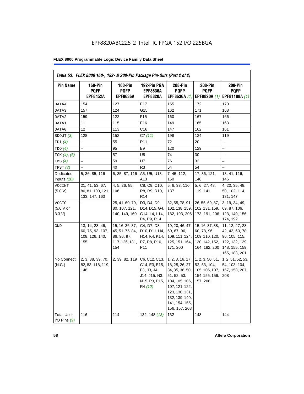| <b>Pin Name</b>                     | <b>160-Pin</b><br><b>PQFP</b>                                | $160-Pin$<br><b>PQFP</b>                                                   | 192-Pin PGA<br><b>EPF8636A</b>                                                                                                    | 208-Pin<br><b>PQFP</b>                                                                                                                                                           | 208-Pin<br><b>PQFP</b>                                                              | 208-Pin<br><b>PQFP</b>                                                                                   |
|-------------------------------------|--------------------------------------------------------------|----------------------------------------------------------------------------|-----------------------------------------------------------------------------------------------------------------------------------|----------------------------------------------------------------------------------------------------------------------------------------------------------------------------------|-------------------------------------------------------------------------------------|----------------------------------------------------------------------------------------------------------|
|                                     | <b>EPF8452A</b>                                              | <b>EPF8636A</b>                                                            | <b>EPF8820A</b>                                                                                                                   | EPF8636A (1)                                                                                                                                                                     | EPF8820A (1)                                                                        | EPF81188A (1)                                                                                            |
| DATA4                               | 154                                                          | 127                                                                        | E17                                                                                                                               | 165                                                                                                                                                                              | 172                                                                                 | 170                                                                                                      |
| DATA3                               | 157                                                          | 124                                                                        | G15                                                                                                                               | 162                                                                                                                                                                              | 171                                                                                 | 168                                                                                                      |
| DATA2                               | 159                                                          | 122                                                                        | F <sub>15</sub>                                                                                                                   | 160                                                                                                                                                                              | 167                                                                                 | 166                                                                                                      |
| DATA1                               | 11                                                           | 115                                                                        | E16                                                                                                                               | 149                                                                                                                                                                              | 165                                                                                 | 163                                                                                                      |
| DATA0                               | 12                                                           | 113                                                                        | C <sub>16</sub>                                                                                                                   | 147                                                                                                                                                                              | 162                                                                                 | 161                                                                                                      |
| SDOUT(3)                            | 128                                                          | 152                                                                        | C7(11)                                                                                                                            | 198                                                                                                                                                                              | 124                                                                                 | 119                                                                                                      |
| TDI(4)                              | $\overline{\phantom{0}}$                                     | 55                                                                         | R <sub>11</sub>                                                                                                                   | 72                                                                                                                                                                               | 20                                                                                  |                                                                                                          |
| TDO(4)                              |                                                              | 95                                                                         | B <sub>9</sub>                                                                                                                    | 120                                                                                                                                                                              | 129                                                                                 |                                                                                                          |
| TCK $(4)$ , $(6)$                   |                                                              | 57                                                                         | U8                                                                                                                                | 74                                                                                                                                                                               | 30                                                                                  |                                                                                                          |
| TMS $(4)$                           |                                                              | 59                                                                         | U7                                                                                                                                | 76                                                                                                                                                                               | 32                                                                                  | $\overline{\phantom{0}}$                                                                                 |
| TRST $(7)$                          |                                                              | 40                                                                         | R <sub>3</sub>                                                                                                                    | 54                                                                                                                                                                               | 54                                                                                  |                                                                                                          |
| Dedicated<br>Inputs $(10)$          | 5, 36, 85, 116                                               | 6, 35, 87, 116                                                             | A5, U5, U13,<br>A13                                                                                                               | 7, 45, 112,<br>150                                                                                                                                                               | 17, 36, 121,<br>140                                                                 | 13, 41, 116,<br>146                                                                                      |
| <b>VCCINT</b><br>(5.0 V)            | 21, 41, 53, 67,<br>80, 81, 100, 121,<br>133, 147, 160        | 4, 5, 26, 85,<br>106                                                       | C8, C9, C10,<br>R8, R9, R10,<br>R <sub>14</sub>                                                                                   | 5, 6, 33, 110,<br>137                                                                                                                                                            | 5, 6, 27, 48,<br>119, 141                                                           | 4, 20, 35, 48,<br>50, 102, 114,<br>131, 147                                                              |
| <b>VCCIO</b><br>(5.0 V or<br>3.3 V  |                                                              | 25, 41, 60, 70,<br>80, 107, 121,<br>140, 149, 160                          | D3, D4, D9,<br>D14, D15, G4,<br>G14, L4, L14,<br>P4, P9, P14                                                                      | 32, 55, 78, 91,<br>102, 138, 159,<br>182, 193, 206                                                                                                                               | 26, 55, 69, 87,<br>102, 131, 159,<br>173, 191, 206                                  | 3, 19, 34, 49,<br>69, 87, 106,<br>123, 140, 156,<br>174, 192                                             |
| GND                                 | 13, 14, 28, 46,<br>60, 75, 93, 107,<br>108, 126, 140,<br>155 | 15, 16, 36, 37,<br>45, 51, 75, 84,<br>86, 96, 97,<br>117, 126, 131,<br>154 | C4, D7, D8,<br>D10, D11, H4,<br>H <sub>14</sub> , K <sub>4</sub> , K <sub>14</sub> ,<br>P7, P8, P10,<br>P <sub>11</sub>           | 19, 20, 46, 47,<br>60, 67, 96,<br>109, 111, 124,<br>125, 151, 164,<br>171, 200                                                                                                   | 15, 16, 37, 38,<br>60, 78, 96,<br>109, 110, 120,<br>130, 142, 152,<br>164, 182, 200 | 11, 12, 27, 28,<br>42, 43, 60, 78,<br>96, 105, 115,<br>122, 132, 139,<br>148, 155, 159,<br>165, 183, 201 |
| No Connect<br>(N.C.)                | 2, 3, 38, 39, 70,<br>82, 83, 118, 119,<br>148                | 2, 39, 82, 119                                                             | C6, C12, C13,<br>C14, E3, E15,<br>F3, J3, J4,<br>J14, J15, N3,<br>N <sub>15</sub> , P <sub>3</sub> , P <sub>15</sub> ,<br>R4 (12) | 1, 2, 3, 16, 17,<br>18, 25, 26, 27,<br>34, 35, 36, 50,<br>51, 52, 53,<br>104, 105, 106,<br>107, 121, 122,<br>123, 130, 131,<br>132, 139, 140,<br>141, 154, 155,<br>156, 157, 208 | 1, 2, 3, 50, 51,<br>52, 53, 104,<br>105, 106, 107,<br>154, 155, 156,<br>157, 208    | 1, 2, 51, 52, 53,<br>54, 103, 104,<br>157, 158, 207,<br>208                                              |
| <b>Total User</b><br>I/O Pins $(9)$ | 116                                                          | 114                                                                        | 132, 148 (13)                                                                                                                     | 132                                                                                                                                                                              | 148                                                                                 | 144                                                                                                      |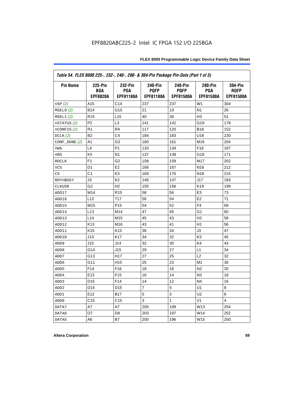| Table 54. FLEX 8000 225-, 232-, 240-, 280- & 304-Pin Package Pin-Outs (Part 1 of 3) |                                                 |                                           |                                            |                                                   |                                    |                                            |
|-------------------------------------------------------------------------------------|-------------------------------------------------|-------------------------------------------|--------------------------------------------|---------------------------------------------------|------------------------------------|--------------------------------------------|
| <b>Pin Name</b>                                                                     | <b>225-Pin</b><br><b>BGA</b><br><b>EPF8820A</b> | 232-Pin<br><b>PGA</b><br><b>EPF81188A</b> | <b>240-Pin</b><br><b>PQFP</b><br>EPF81188A | <b>240-Pin</b><br><b>PQFP</b><br><b>EPF81500A</b> | 280-Pin<br><b>PGA</b><br>EPF81500A | 304-Pin<br><b>ROFP</b><br><b>EPF81500A</b> |
| nSP(2)                                                                              | A15                                             | C14                                       | 237                                        | 237                                               | W <sub>1</sub>                     | 304                                        |
| MSELO(2)                                                                            | <b>B14</b>                                      | G15                                       | 21                                         | 19                                                | N <sub>1</sub>                     | 26                                         |
| MSEL1(2)                                                                            | R <sub>15</sub>                                 | L15                                       | 40                                         | 38                                                | H <sub>3</sub>                     | 51                                         |
| nSTATUS (2)                                                                         | P <sub>2</sub>                                  | L <sub>3</sub>                            | 141                                        | 142                                               | G19                                | 178                                        |
| $n$ CONFIG $(2)$                                                                    | R <sub>1</sub>                                  | R <sub>4</sub>                            | 117                                        | 120                                               | <b>B18</b>                         | 152                                        |
| DCLK(2)                                                                             | B <sub>2</sub>                                  | C <sub>4</sub>                            | 184                                        | 183                                               | U18                                | 230                                        |
| CONF_DONE (2)                                                                       | A1                                              | G3                                        | 160                                        | 161                                               | M16                                | 204                                        |
| nWS                                                                                 | L4                                              | P <sub>1</sub>                            | 133                                        | 134                                               | F <sub>18</sub>                    | 167                                        |
| nRS                                                                                 | K <sub>5</sub>                                  | N <sub>1</sub>                            | 137                                        | 138                                               | G18                                | 171                                        |
| <b>RDCLK</b>                                                                        | F <sub>1</sub>                                  | G <sub>2</sub>                            | 158                                        | 159                                               | M17                                | 202                                        |
| nCS                                                                                 | D <sub>1</sub>                                  | E <sub>2</sub>                            | 166                                        | 167                                               | N <sub>16</sub>                    | 212                                        |
| CS                                                                                  | C1                                              | E <sub>3</sub>                            | 169                                        | 170                                               | N <sub>18</sub>                    | 215                                        |
| RDYnBUSY                                                                            | J3                                              | K <sub>2</sub>                            | 146                                        | 147                                               | J17                                | 183                                        |
| <b>CLKUSR</b>                                                                       | G <sub>2</sub>                                  | H <sub>2</sub>                            | 155                                        | 156                                               | K <sub>19</sub>                    | 199                                        |
| ADD17                                                                               | M14                                             | R <sub>15</sub>                           | 58                                         | 56                                                | E <sub>3</sub>                     | 73                                         |
| ADD16                                                                               | L12                                             | T17                                       | 56                                         | 54                                                | E <sub>2</sub>                     | 71                                         |
| ADD15                                                                               | M15                                             | P <sub>15</sub>                           | 54                                         | 52                                                | F <sub>4</sub>                     | 69                                         |
| ADD14                                                                               | L13                                             | M14                                       | 47                                         | 45                                                | G1                                 | 60                                         |
| ADD13                                                                               | L14                                             | M15                                       | 45                                         | 43                                                | H <sub>2</sub>                     | 58                                         |
| ADD12                                                                               | K <sub>13</sub>                                 | M16                                       | 43                                         | 41                                                | H1                                 | 56                                         |
| ADD11                                                                               | K <sub>15</sub>                                 | K <sub>15</sub>                           | 36                                         | 34                                                | J3                                 | 47                                         |
| ADD10                                                                               | J13                                             | K17                                       | 34                                         | 32                                                | K <sub>3</sub>                     | 45                                         |
| ADD <sub>9</sub>                                                                    | J15                                             | J14                                       | 32                                         | 30                                                | K4                                 | 43                                         |
| ADD <sub>8</sub>                                                                    | G14                                             | J15                                       | 29                                         | 27                                                | L1                                 | 34                                         |
| ADD7                                                                                | G13                                             | H <sub>17</sub>                           | 27                                         | 25                                                | L2                                 | 32                                         |
| ADD <sub>6</sub>                                                                    | G11                                             | H <sub>15</sub>                           | 25                                         | 23                                                | M <sub>1</sub>                     | 30                                         |
| ADD <sub>5</sub>                                                                    | F <sub>14</sub>                                 | F <sub>16</sub>                           | 18                                         | 16                                                | N <sub>2</sub>                     | 20                                         |
| ADD4                                                                                | E <sub>13</sub>                                 | F <sub>15</sub>                           | 16                                         | 14                                                | N <sub>3</sub>                     | 18                                         |
| ADD3                                                                                | D <sub>15</sub>                                 | F14                                       | 14                                         | 12                                                | N <sub>4</sub>                     | 16                                         |
| ADD <sub>2</sub>                                                                    | D <sub>14</sub>                                 | D <sub>15</sub>                           | 7                                          | 5                                                 | U1                                 | 8                                          |
| ADD1                                                                                | E12                                             | <b>B17</b>                                | 5                                          | 3                                                 | U2                                 | 6                                          |
| ADD <sub>0</sub>                                                                    | C <sub>15</sub>                                 | C <sub>15</sub>                           | 3                                          | 1                                                 | V <sub>1</sub>                     | 4                                          |
| DATA7                                                                               | A7                                              | A7                                        | 205                                        | 199                                               | W13                                | 254                                        |
| DATA6                                                                               | D7                                              | D <sub>8</sub>                            | 203                                        | 197                                               | W14                                | 252                                        |
| DATA5                                                                               | A6                                              | B7                                        | 200                                        | 196                                               | W15                                | 250                                        |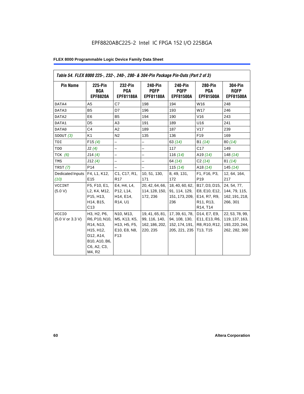| Table 54. FLEX 8000 225-, 232-, 240-, 280- & 304-Pin Package Pin-Outs (Part 2 of 3) |                                                                                                               |                                                                              |                                                                |                                                                              |                                                                                                                            |                                                                      |
|-------------------------------------------------------------------------------------|---------------------------------------------------------------------------------------------------------------|------------------------------------------------------------------------------|----------------------------------------------------------------|------------------------------------------------------------------------------|----------------------------------------------------------------------------------------------------------------------------|----------------------------------------------------------------------|
| <b>Pin Name</b>                                                                     | 225-Pin<br><b>BGA</b><br><b>EPF8820A</b>                                                                      | 232-Pin<br>PGA<br><b>EPF81188A</b>                                           | 240-Pin<br><b>PQFP</b><br><b>EPF81188A</b>                     | 240-Pin<br><b>PQFP</b><br><b>EPF81500A</b>                                   | <b>280-Pin</b><br>PGA<br><b>EPF81500A</b>                                                                                  | <b>304-Pin</b><br><b>RQFP</b><br><b>EPF81500A</b>                    |
| DATA4                                                                               | A <sub>5</sub>                                                                                                | C7                                                                           | 198                                                            | 194                                                                          | W16                                                                                                                        | 248                                                                  |
| DATA3                                                                               | <b>B5</b>                                                                                                     | D7                                                                           | 196                                                            | 193                                                                          | W17                                                                                                                        | 246                                                                  |
| DATA2                                                                               | E <sub>6</sub>                                                                                                | <b>B5</b>                                                                    | 194                                                            | 190                                                                          | V16                                                                                                                        | 243                                                                  |
| DATA1                                                                               | D <sub>5</sub>                                                                                                | A3                                                                           | 191                                                            | 189                                                                          | U16                                                                                                                        | 241                                                                  |
| DATA0                                                                               | C <sub>4</sub>                                                                                                | A2                                                                           | 189                                                            | 187                                                                          | V17                                                                                                                        | 239                                                                  |
| SDOUT(3)                                                                            | K <sub>1</sub>                                                                                                | N <sub>2</sub>                                                               | 135                                                            | 136                                                                          | F <sub>19</sub>                                                                                                            | 169                                                                  |
| TDI                                                                                 | F15(4)                                                                                                        | -                                                                            | -                                                              | 63(14)                                                                       | B1 (14)                                                                                                                    | 80(14)                                                               |
| TDO                                                                                 | J2(4)                                                                                                         | $\overline{\phantom{0}}$                                                     | $\overline{\phantom{0}}$                                       | 117                                                                          | C <sub>17</sub>                                                                                                            | 149                                                                  |
| TCK $(6)$                                                                           | J14(4)                                                                                                        | $\overline{\phantom{0}}$                                                     | -                                                              | 116 $(14)$                                                                   | A <sub>19</sub> $(14)$                                                                                                     | 148 $(14)$                                                           |
| TMS                                                                                 | J12(4)                                                                                                        |                                                                              | -                                                              | 64 (14)                                                                      | C2(14)                                                                                                                     | 81(14)                                                               |
| TRST (7)                                                                            | P <sub>14</sub>                                                                                               | $\equiv$                                                                     | $\overline{\phantom{0}}$                                       | 115 $(14)$                                                                   | A18 $(14)$                                                                                                                 | 145 (14)                                                             |
| Dedicated Inputs<br>(10)                                                            | F4, L1, K12,<br>E <sub>15</sub>                                                                               | C1, C17, R1,<br><b>R17</b>                                                   | 10, 51, 130,<br>171                                            | 8, 49, 131,<br>172                                                           | F1, F16, P3,<br>P <sub>19</sub>                                                                                            | 12, 64, 164,<br>217                                                  |
| <b>VCCINT</b><br>(5.0 V)                                                            | F5, F10, E1,<br>L2, K4, M12,<br>P15, H13,<br>H14, B15,<br>C13                                                 | E4, H4, L4,<br>P12, L14,<br>H14, E14,<br>R14, U1                             | 20, 42, 64, 66,<br>114, 128, 150,<br>172, 236                  | 18, 40, 60, 62,<br>91, 114, 129,<br>151, 173, 209,<br>236                    | B17, D3, D15,<br>E8, E10, E12,<br>E14, R7, R9,<br>R <sub>11</sub> , R <sub>13</sub> ,<br>R <sub>14</sub> , T <sub>14</sub> | 24, 54, 77,<br>144, 79, 115,<br>162, 191, 218,<br>266, 301           |
| <b>VCCIO</b><br>(5.0 V or 3.3 V)                                                    | H3, H2, P6,<br>R6, P10, N10,<br>R14, N13,<br>H15, H12,<br>D12, A14,<br>B10, A10, B6,<br>C6, A2, C3,<br>M4, R2 | N10, M13,<br>M5, K13, K5,<br>H13, H5, F5,<br>E10, E8, N8,<br>F <sub>13</sub> | 19, 41, 65, 81,<br>99, 116, 140,<br>162, 186, 202,<br>220, 235 | 17, 39, 61, 78,<br>94, 108, 130,<br>152, 174, 191,<br>205, 221, 235 T13, T15 | D14, E7, E9,<br>E11, E13, R6,<br>R8, R10, R12,                                                                             | 22, 53, 78, 99,<br>119, 137, 163,<br>193, 220, 244,<br>262, 282, 300 |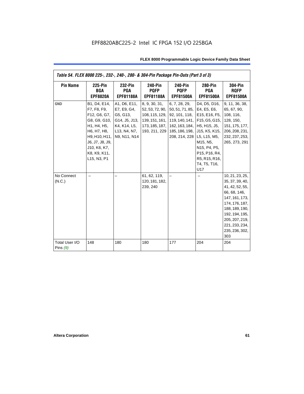| Table 54. FLEX 8000 225-, 232-, 240-, 280- & 304-Pin Package Pin-Outs (Part 3 of 3) |                                                                                                                                                                              |                                                                                                          |                                                                                                         |                                                                                                                                                              |                                                                                                                                                    |                                                                                                                                                                                                            |
|-------------------------------------------------------------------------------------|------------------------------------------------------------------------------------------------------------------------------------------------------------------------------|----------------------------------------------------------------------------------------------------------|---------------------------------------------------------------------------------------------------------|--------------------------------------------------------------------------------------------------------------------------------------------------------------|----------------------------------------------------------------------------------------------------------------------------------------------------|------------------------------------------------------------------------------------------------------------------------------------------------------------------------------------------------------------|
| <b>Pin Name</b>                                                                     | <b>225-Pin</b><br><b>BGA</b><br><b>EPF8820A</b>                                                                                                                              | 232-Pin<br><b>PGA</b><br><b>EPF81188A</b>                                                                | <b>240-Pin</b><br><b>PQFP</b><br><b>EPF81188A</b>                                                       | <b>240-Pin</b><br><b>PQFP</b><br><b>EPF81500A</b>                                                                                                            | 280-Pin<br><b>PGA</b><br><b>EPF81500A</b>                                                                                                          | 304-Pin<br><b>ROFP</b><br><b>EPF81500A</b>                                                                                                                                                                 |
| <b>GND</b>                                                                          | B1, D4, E14,<br>F7, F8, F9,<br>F12, G6, G7,<br>G8, G9, G10,<br>H1, H4, H5,<br>H6, H7, H8,<br>H9, H10, H11,<br>J6, J7, J8, J9,<br>J10, K6, K7,<br>K8, K9, K11,<br>L15, N3, P1 | A1, D6, E11,<br>E7, E9, G4,<br>G5, G13,<br>G14, J5, J13,<br>K4, K14, L5,<br>L13, N4, N7,<br>N9, N11, N14 | 8, 9, 30, 31,<br>52, 53, 72, 90,<br>108, 115, 129,<br>139, 151, 161,<br>173, 185, 187,<br>193, 211, 229 | 6, 7, 28, 29,<br>50, 51, 71, 85, E4, E5, E6,<br>92, 101, 118,<br>162, 163, 184, H5, H15, J5,<br>185, 186, 198, J15, K5, K15,<br>208, 214, 228   L5, L15, M5, | D4, D5, D16,<br>E15, E16, F5,<br>119, 140, 141, F15, G5, G15,<br>M15, N5,<br>N15, P4, P5,<br>P15, P16, R4,<br>R5, R15, R16,<br>T4, T5, T16,<br>U17 | 9, 11, 36, 38,<br>65, 67, 90,<br>108, 116,<br>128, 150,<br>151, 175, 177,<br>206, 208, 231,<br>232, 237, 253,<br>265, 273, 291                                                                             |
| No Connect<br>(N.C.)                                                                |                                                                                                                                                                              |                                                                                                          | 61, 62, 119,<br>120, 181, 182,<br>239, 240                                                              |                                                                                                                                                              |                                                                                                                                                    | 10, 21, 23, 25,<br>35, 37, 39, 40,<br>41, 42, 52, 55,<br>66, 68, 146,<br>147, 161, 173,<br>174, 176, 187,<br>188, 189, 190,<br>192, 194, 195,<br>205, 207, 219,<br>221, 233, 234,<br>235, 236, 302,<br>303 |
| Total User I/O<br>Pins $(9)$                                                        | 148                                                                                                                                                                          | 180                                                                                                      | 180                                                                                                     | 177                                                                                                                                                          | 204                                                                                                                                                | 204                                                                                                                                                                                                        |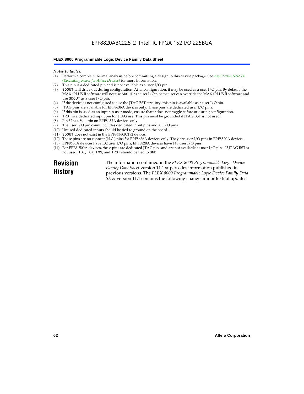#### EPF8820ABC225-2 Intel IC FPGA 152 I/O 225BGA

#### **FLEX 8000 Programmable Logic Device Family Data Sheet**

#### *Notes to tables:*

- (1) Perform a complete thermal analysis before committing a design to this device package. See *Application Note 74 (Evaluating Power for Altera Devices)* for more information.
- (2) This pin is a dedicated pin and is not available as a user I/O pin.
- (3) SDOUT will drive out during configuration. After configuration, it may be used as a user I/O pin. By default, the MAX+PLUS II software will not use SDOUT as a user I/O pin; the user can override the MAX+PLUS II software and use SDOUT as a user I/O pin.
- (4) If the device is not configured to use the JTAG BST circuitry, this pin is available as a user I/O pin.
- (5) JTAG pins are available for EPF8636A devices only. These pins are dedicated user I/O pins.
- $(6)$  If this pin is used as an input in user mode, ensure that it does not toggle before or during configuration.
- (7) TRST is a dedicated input pin for JTAG use. This pin must be grounded if JTAG BST is not used.
- (8) Pin 52 is a  $V_{CC}$  pin on EPF8452A devices only.
- (9) The user I/O pin count includes dedicated input pins and all I/O pins.
- (10) Unused dedicated inputs should be tied to ground on the board.
- (11) SDOUT does not exist in the EPF8636GC192 device.
- (12) These pins are no connect (N.C.) pins for EPF8636A devices only. They are user I/O pins in EPF8820A devices.
- (13) EPF8636A devices have 132 user I/O pins; EPF8820A devices have 148 user I/O pins.
- (14) For EPF81500A devices, these pins are dedicated JTAG pins and are not available as user I/O pins. If JTAG BST is not used, TDI, TCK, TMS, and TRST should be tied to GND.

**Revision History**

The information contained in the *FLEX 8000 Programmable Logic Device Family Data Sheet* version 11.1 supersedes information published in previous versions. The *FLEX 8000 Programmable Logic Device Family Data Sheet* version 11.1 contains the following change: minor textual updates.